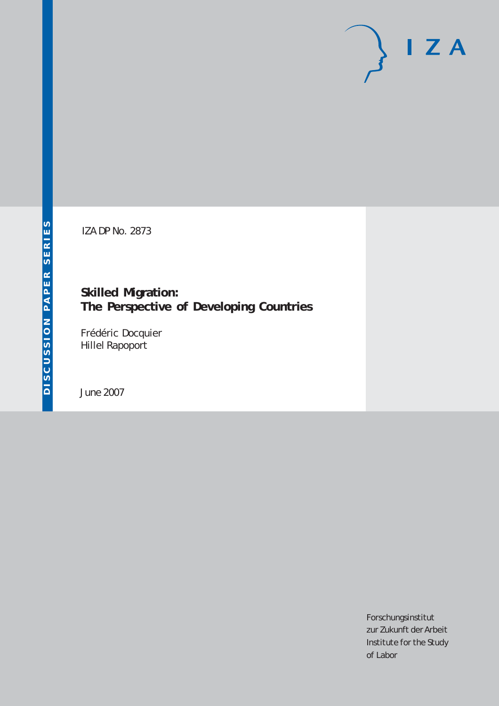# $I Z A$

IZA DP No. 2873

**Skilled Migration: The Perspective of Developing Countries**

Frédéric Docquier Hillel Rapoport

June 2007

Forschungsinstitut zur Zukunft der Arbeit Institute for the Study of Labor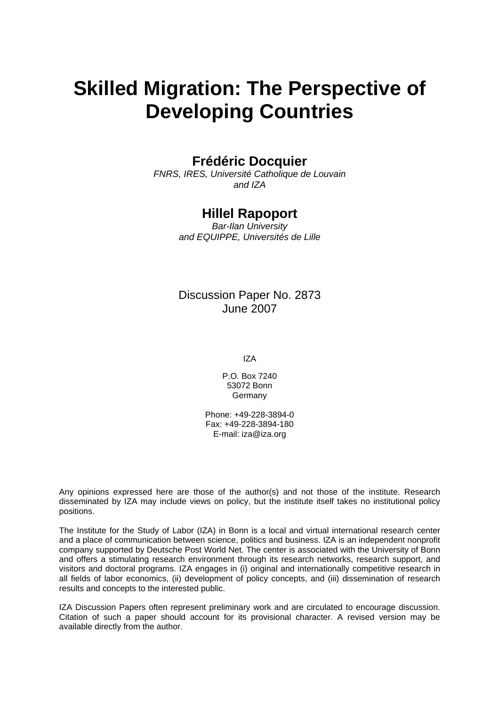# **Skilled Migration: The Perspective of Developing Countries**

# **Frédéric Docquier**

*FNRS, IRES, Université Catholique de Louvain and IZA* 

## **Hillel Rapoport**

*Bar-Ilan University and EQUIPPE, Universités de Lille* 

## Discussion Paper No. 2873 June 2007

IZA

P.O. Box 7240 53072 Bonn Germany

Phone: +49-228-3894-0 Fax: +49-228-3894-180 E-mail: [iza@iza.org](mailto:iza@iza.org)

Any opinions expressed here are those of the author(s) and not those of the institute. Research disseminated by IZA may include views on policy, but the institute itself takes no institutional policy positions.

The Institute for the Study of Labor (IZA) in Bonn is a local and virtual international research center and a place of communication between science, politics and business. IZA is an independent nonprofit company supported by Deutsche Post World Net. The center is associated with the University of Bonn and offers a stimulating research environment through its research networks, research support, and visitors and doctoral programs. IZA engages in (i) original and internationally competitive research in all fields of labor economics, (ii) development of policy concepts, and (iii) dissemination of research results and concepts to the interested public.

IZA Discussion Papers often represent preliminary work and are circulated to encourage discussion. Citation of such a paper should account for its provisional character. A revised version may be available directly from the author.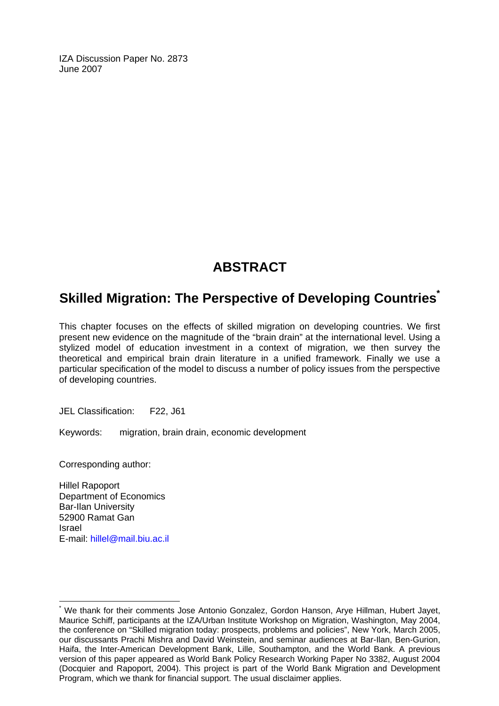IZA Discussion Paper No. 2873 June 2007

# **ABSTRACT**

# **Skilled Migration: The Perspective of Developing Countries[\\*](#page-2-0)**

This chapter focuses on the effects of skilled migration on developing countries. We first present new evidence on the magnitude of the "brain drain" at the international level. Using a stylized model of education investment in a context of migration, we then survey the theoretical and empirical brain drain literature in a unified framework. Finally we use a particular specification of the model to discuss a number of policy issues from the perspective of developing countries.

JEL Classification: F22, J61

Keywords: migration, brain drain, economic development

Corresponding author:

Hillel Rapoport Department of Economics Bar-Ilan University 52900 Ramat Gan Israel E-mail: [hillel@mail.biu.ac.il](mailto:hillel@mail.biu.ac.il)

 $\overline{a}$ 

<span id="page-2-0"></span><sup>\*</sup> We thank for their comments Jose Antonio Gonzalez, Gordon Hanson, Arye Hillman, Hubert Jayet, Maurice Schiff, participants at the IZA/Urban Institute Workshop on Migration, Washington, May 2004, the conference on "Skilled migration today: prospects, problems and policies", New York, March 2005, our discussants Prachi Mishra and David Weinstein, and seminar audiences at Bar-Ilan, Ben-Gurion, Haifa, the Inter-American Development Bank, Lille, Southampton, and the World Bank. A previous version of this paper appeared as World Bank Policy Research Working Paper No 3382, August 2004 (Docquier and Rapoport, 2004). This project is part of the World Bank Migration and Development Program, which we thank for financial support. The usual disclaimer applies.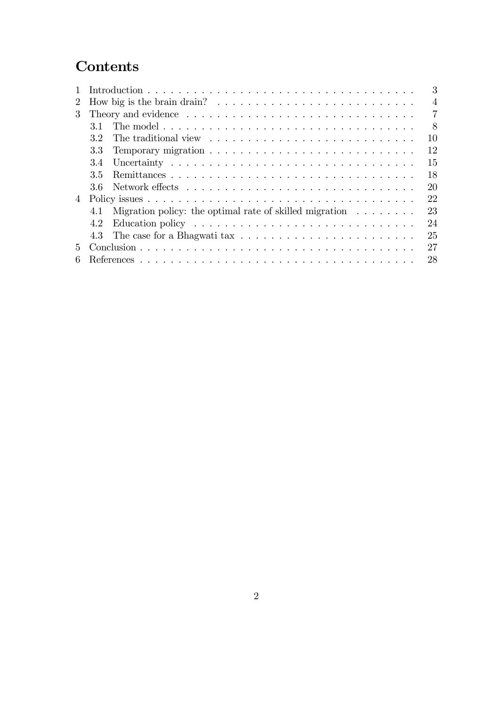# **Contents**

|                             |                                                                                             | 3              |  |  |  |  |  |  |  |
|-----------------------------|---------------------------------------------------------------------------------------------|----------------|--|--|--|--|--|--|--|
| $\mathcal{L}$               | How big is the brain drain? $\ldots \ldots \ldots \ldots \ldots \ldots \ldots \ldots$       | $\overline{4}$ |  |  |  |  |  |  |  |
| $\mathcal{S}_{\mathcal{S}}$ |                                                                                             | 7              |  |  |  |  |  |  |  |
|                             | 31                                                                                          | 8              |  |  |  |  |  |  |  |
|                             | 10<br>32                                                                                    |                |  |  |  |  |  |  |  |
|                             | 12<br>3.3                                                                                   |                |  |  |  |  |  |  |  |
|                             | 15<br>3.4                                                                                   |                |  |  |  |  |  |  |  |
|                             | 18<br>35                                                                                    |                |  |  |  |  |  |  |  |
|                             | 20<br>36.                                                                                   |                |  |  |  |  |  |  |  |
| $\overline{4}$              | 22                                                                                          |                |  |  |  |  |  |  |  |
|                             | 23<br>Migration policy: the optimal rate of skilled migration $\ldots \ldots \ldots$<br>4.1 |                |  |  |  |  |  |  |  |
|                             | 24<br>4.2                                                                                   |                |  |  |  |  |  |  |  |
|                             | 25                                                                                          |                |  |  |  |  |  |  |  |
| 5.                          | 27                                                                                          |                |  |  |  |  |  |  |  |
|                             | 28                                                                                          |                |  |  |  |  |  |  |  |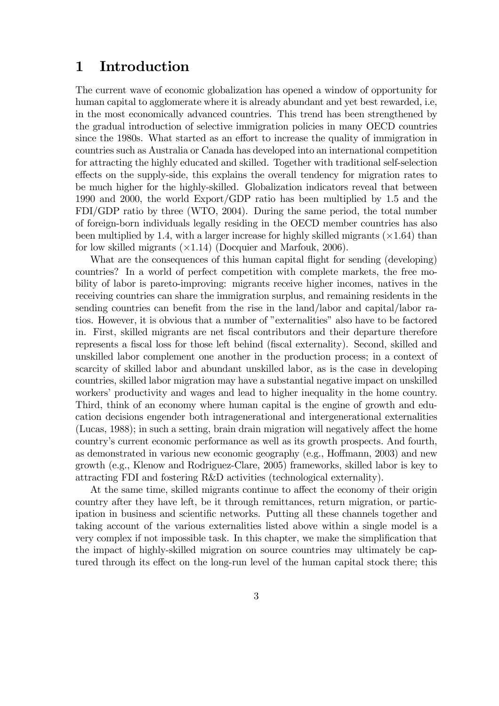# 1 Introduction

The current wave of economic globalization has opened a window of opportunity for human capital to agglomerate where it is already abundant and yet best rewarded, i.e, in the most economically advanced countries. This trend has been strengthened by the gradual introduction of selective immigration policies in many OECD countries since the 1980s. What started as an effort to increase the quality of immigration in countries such as Australia or Canada has developed into an international competition for attracting the highly educated and skilled. Together with traditional self-selection effects on the supply-side, this explains the overall tendency for migration rates to be much higher for the highly-skilled. Globalization indicators reveal that between 1990 and 2000, the world Export/GDP ratio has been multiplied by 1.5 and the FDI/GDP ratio by three (WTO, 2004). During the same period, the total number of foreign-born individuals legally residing in the OECD member countries has also been multiplied by 1.4, with a larger increase for highly skilled migrants  $(\times 1.64)$  than for low skilled migrants  $(\times 1.14)$  (Docquier and Marfouk, 2006).

What are the consequences of this human capital flight for sending (developing) countries? In a world of perfect competition with complete markets, the free mobility of labor is pareto-improving: migrants receive higher incomes, natives in the receiving countries can share the immigration surplus, and remaining residents in the sending countries can benefit from the rise in the land/labor and capital/labor ratios. However, it is obvious that a number of "externalities" also have to be factored in. First, skilled migrants are net fiscal contributors and their departure therefore represents a fiscal loss for those left behind (fiscal externality). Second, skilled and unskilled labor complement one another in the production process; in a context of scarcity of skilled labor and abundant unskilled labor, as is the case in developing countries, skilled labor migration may have a substantial negative impact on unskilled workers' productivity and wages and lead to higher inequality in the home country. Third, think of an economy where human capital is the engine of growth and education decisions engender both intragenerational and intergenerational externalities  $(Lucas, 1988)$ ; in such a setting, brain drain migration will negatively affect the home country's current economic performance as well as its growth prospects. And fourth, as demonstrated in various new economic geography (e.g., Hoffmann,  $2003$ ) and new growth (e.g., Klenow and Rodriguez-Clare, 2005) frameworks, skilled labor is key to attracting FDI and fostering R&D activities (technological externality).

At the same time, skilled migrants continue to affect the economy of their origin country after they have left, be it through remittances, return migration, or participation in business and scientific networks. Putting all these channels together and taking account of the various externalities listed above within a single model is a very complex if not impossible task. In this chapter, we make the simplification that the impact of highly-skilled migration on source countries may ultimately be captured through its effect on the long-run level of the human capital stock there; this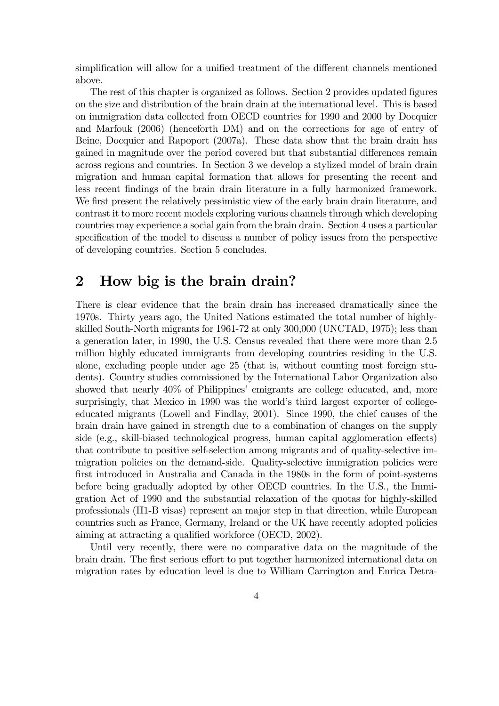simplification will allow for a unified treatment of the different channels mentioned above.

The rest of this chapter is organized as follows. Section 2 provides updated figures on the size and distribution of the brain drain at the international level. This is based on immigration data collected from OECD countries for 1990 and 2000 by Docquier and Marfouk (2006) (henceforth DM) and on the corrections for age of entry of Beine, Docquier and Rapoport (2007a). These data show that the brain drain has gained in magnitude over the period covered but that substantial differences remain across regions and countries. In Section 3 we develop a stylized model of brain drain migration and human capital formation that allows for presenting the recent and less recent findings of the brain drain literature in a fully harmonized framework. We first present the relatively pessimistic view of the early brain drain literature, and contrast it to more recent models exploring various channels through which developing countries may experience a social gain from the brain drain. Section 4 uses a particular specification of the model to discuss a number of policy issues from the perspective of developing countries. Section 5 concludes.

## 2 How big is the brain drain?

There is clear evidence that the brain drain has increased dramatically since the 1970s. Thirty years ago, the United Nations estimated the total number of highlyskilled South-North migrants for 1961-72 at only 300,000 (UNCTAD, 1975); less than a generation later, in 1990, the U.S. Census revealed that there were more than 2.5 million highly educated immigrants from developing countries residing in the U.S. alone, excluding people under age 25 (that is, without counting most foreign students). Country studies commissioned by the International Labor Organization also showed that nearly 40% of Philippines' emigrants are college educated, and, more surprisingly, that Mexico in 1990 was the world's third largest exporter of collegeeducated migrants (Lowell and Findlay, 2001). Since 1990, the chief causes of the brain drain have gained in strength due to a combination of changes on the supply side  $(e.g., skill-biased technologyical progress, human capital agglomeration effects)$ that contribute to positive self-selection among migrants and of quality-selective immigration policies on the demand-side. Quality-selective immigration policies were first introduced in Australia and Canada in the 1980s in the form of point-systems before being gradually adopted by other OECD countries. In the U.S., the Immigration Act of 1990 and the substantial relaxation of the quotas for highly-skilled professionals (H1-B visas) represent an major step in that direction, while European countries such as France, Germany, Ireland or the UK have recently adopted policies aiming at attracting a qualified workforce (OECD, 2002).

Until very recently, there were no comparative data on the magnitude of the brain drain. The first serious effort to put together harmonized international data on migration rates by education level is due to William Carrington and Enrica Detra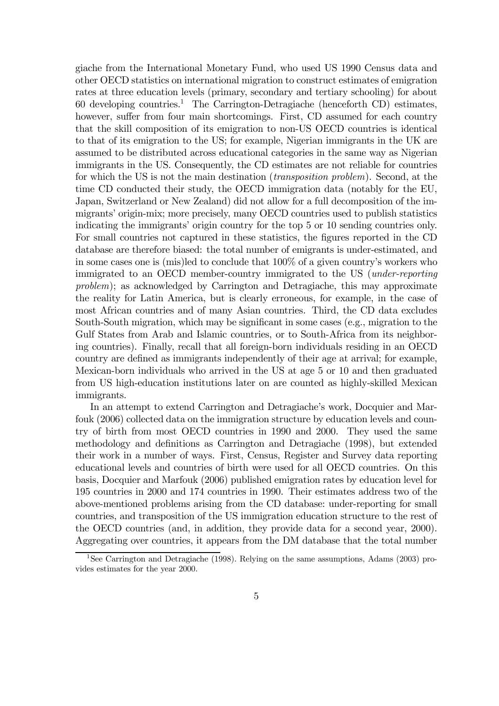giache from the International Monetary Fund, who used US 1990 Census data and other OECD statistics on international migration to construct estimates of emigration rates at three education levels (primary, secondary and tertiary schooling) for about 60 developing countries.<sup>1</sup> The Carrington-Detragiache (henceforth CD) estimates, however, suffer from four main shortcomings. First, CD assumed for each country that the skill composition of its emigration to non-US OECD countries is identical to that of its emigration to the US; for example, Nigerian immigrants in the UK are assumed to be distributed across educational categories in the same way as Nigerian immigrants in the US. Consequently, the CD estimates are not reliable for countries for which the US is not the main destination (transposition problem). Second, at the time CD conducted their study, the OECD immigration data (notably for the EU, Japan, Switzerland or New Zealand) did not allow for a full decomposition of the immigrants' origin-mix; more precisely, many OECD countries used to publish statistics indicating the immigrants' origin country for the top 5 or 10 sending countries only. For small countries not captured in these statistics, the figures reported in the CD database are therefore biased: the total number of emigrants is under-estimated, and in some cases one is (mis)led to conclude that 100% of a given country's workers who immigrated to an OECD member-country immigrated to the US (under-reporting problem); as acknowledged by Carrington and Detragiache, this may approximate the reality for Latin America, but is clearly erroneous, for example, in the case of most African countries and of many Asian countries. Third, the CD data excludes South-South migration, which may be significant in some cases (e.g., migration to the Gulf States from Arab and Islamic countries, or to South-Africa from its neighboring countries). Finally, recall that all foreign-born individuals residing in an OECD country are defined as immigrants independently of their age at arrival; for example, Mexican-born individuals who arrived in the US at age 5 or 10 and then graduated from US high-education institutions later on are counted as highly-skilled Mexican immigrants.

In an attempt to extend Carrington and Detragiache's work, Docquier and Marfouk (2006) collected data on the immigration structure by education levels and country of birth from most OECD countries in 1990 and 2000. They used the same methodology and definitions as Carrington and Detragiache (1998), but extended their work in a number of ways. First, Census, Register and Survey data reporting educational levels and countries of birth were used for all OECD countries. On this basis, Docquier and Marfouk (2006) published emigration rates by education level for 195 countries in 2000 and 174 countries in 1990. Their estimates address two of the above-mentioned problems arising from the CD database: under-reporting for small countries, and transposition of the US immigration education structure to the rest of the OECD countries (and, in addition, they provide data for a second year, 2000). Aggregating over countries, it appears from the DM database that the total number

<sup>&</sup>lt;sup>1</sup>See Carrington and Detragiache (1998). Relying on the same assumptions, Adams (2003) provides estimates for the year 2000.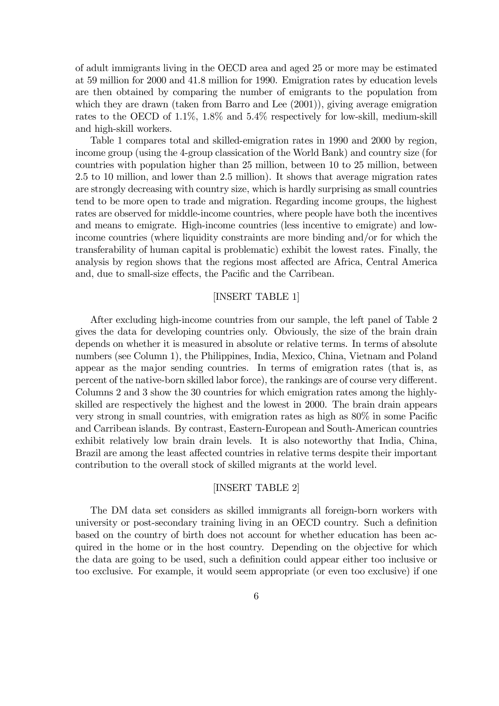of adult immigrants living in the OECD area and aged 25 or more may be estimated at 59 million for 2000 and 41.8 million for 1990. Emigration rates by education levels are then obtained by comparing the number of emigrants to the population from which they are drawn (taken from Barro and Lee  $(2001)$ ), giving average emigration rates to the OECD of 1.1%, 1.8% and 5.4% respectively for low-skill, medium-skill and high-skill workers.

Table 1 compares total and skilled-emigration rates in 1990 and 2000 by region, income group (using the 4-group classication of the World Bank) and country size (for countries with population higher than 25 million, between 10 to 25 million, between 2.5 to 10 million, and lower than 2.5 million). It shows that average migration rates are strongly decreasing with country size, which is hardly surprising as small countries tend to be more open to trade and migration. Regarding income groups, the highest rates are observed for middle-income countries, where people have both the incentives and means to emigrate. High-income countries (less incentive to emigrate) and lowincome countries (where liquidity constraints are more binding and/or for which the transferability of human capital is problematic) exhibit the lowest rates. Finally, the analysis by region shows that the regions most affected are Africa, Central America and, due to small-size effects, the Pacific and the Carribean.

#### [INSERT TABLE 1]

After excluding high-income countries from our sample, the left panel of Table 2 gives the data for developing countries only. Obviously, the size of the brain drain depends on whether it is measured in absolute or relative terms. In terms of absolute numbers (see Column 1), the Philippines, India, Mexico, China, Vietnam and Poland appear as the major sending countries. In terms of emigration rates (that is, as percent of the native-born skilled labor force), the rankings are of course very different. Columns 2 and 3 show the 30 countries for which emigration rates among the highlyskilled are respectively the highest and the lowest in 2000. The brain drain appears very strong in small countries, with emigration rates as high as  $80\%$  in some Pacific and Carribean islands. By contrast, Eastern-European and South-American countries exhibit relatively low brain drain levels. It is also noteworthy that India, China, Brazil are among the least affected countries in relative terms despite their important contribution to the overall stock of skilled migrants at the world level.

#### [INSERT TABLE 2]

The DM data set considers as skilled immigrants all foreign-born workers with university or post-secondary training living in an OECD country. Such a definition based on the country of birth does not account for whether education has been acquired in the home or in the host country. Depending on the objective for which the data are going to be used, such a definition could appear either too inclusive or too exclusive. For example, it would seem appropriate (or even too exclusive) if one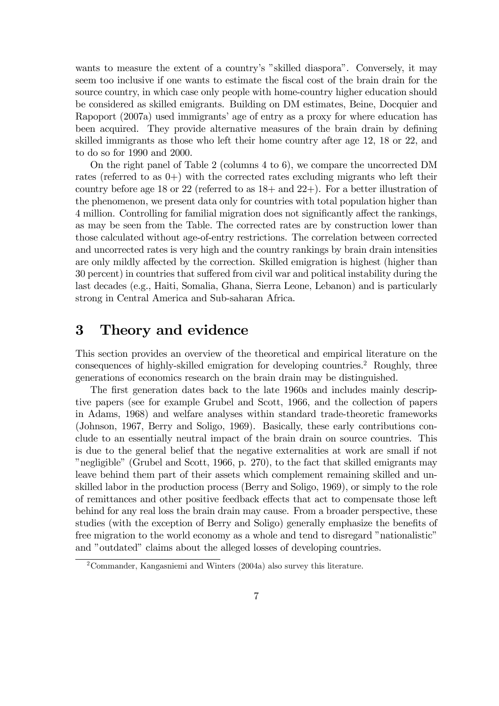wants to measure the extent of a country's "skilled diaspora". Conversely, it may seem too inclusive if one wants to estimate the fiscal cost of the brain drain for the source country, in which case only people with home-country higher education should be considered as skilled emigrants. Building on DM estimates, Beine, Docquier and Rapoport (2007a) used immigrants' age of entry as a proxy for where education has been acquired. They provide alternative measures of the brain drain by defining skilled immigrants as those who left their home country after age 12, 18 or 22, and to do so for 1990 and 2000.

On the right panel of Table 2 (columns 4 to 6), we compare the uncorrected DM rates (referred to as  $(0+)$  with the corrected rates excluding migrants who left their country before age 18 or 22 (referred to as 18+ and 22+). For a better illustration of the phenomenon, we present data only for countries with total population higher than 4 million. Controlling for familial migration does not significantly affect the rankings, as may be seen from the Table. The corrected rates are by construction lower than those calculated without age-of-entry restrictions. The correlation between corrected and uncorrected rates is very high and the country rankings by brain drain intensities are only mildly affected by the correction. Skilled emigration is highest (higher than 30 percent) in countries that suffered from civil war and political instability during the last decades (e.g., Haiti, Somalia, Ghana, Sierra Leone, Lebanon) and is particularly strong in Central America and Sub-saharan Africa.

# 3 Theory and evidence

This section provides an overview of the theoretical and empirical literature on the consequences of highly-skilled emigration for developing countries.<sup>2</sup> Roughly, three generations of economics research on the brain drain may be distinguished.

The first generation dates back to the late 1960s and includes mainly descriptive papers (see for example Grubel and Scott, 1966, and the collection of papers in Adams, 1968) and welfare analyses within standard trade-theoretic frameworks (Johnson, 1967, Berry and Soligo, 1969). Basically, these early contributions conclude to an essentially neutral impact of the brain drain on source countries. This is due to the general belief that the negative externalities at work are small if not "negligible" (Grubel and Scott, 1966, p. 270), to the fact that skilled emigrants may leave behind them part of their assets which complement remaining skilled and unskilled labor in the production process (Berry and Soligo, 1969), or simply to the role of remittances and other positive feedback effects that act to compensate those left behind for any real loss the brain drain may cause. From a broader perspective, these studies (with the exception of Berry and Soligo) generally emphasize the benefits of free migration to the world economy as a whole and tend to disregard "nationalistic" and "outdated" claims about the alleged losses of developing countries.

<sup>2</sup>Commander, Kangasniemi and Winters (2004a) also survey this literature.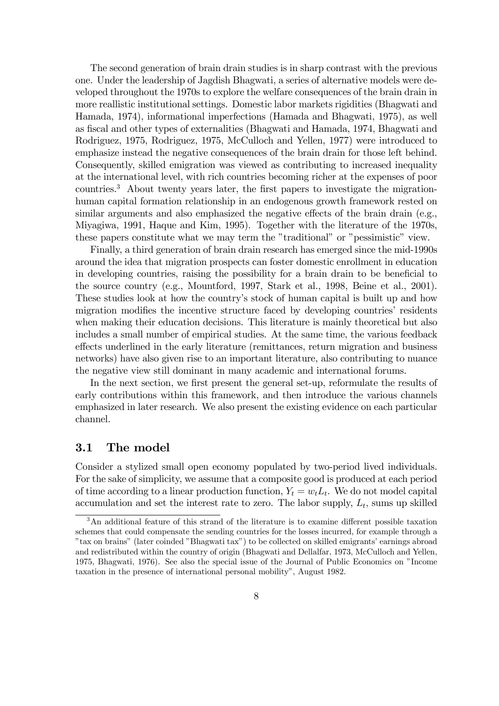The second generation of brain drain studies is in sharp contrast with the previous one. Under the leadership of Jagdish Bhagwati, a series of alternative models were developed throughout the 1970s to explore the welfare consequences of the brain drain in more reallistic institutional settings. Domestic labor markets rigidities (Bhagwati and Hamada, 1974), informational imperfections (Hamada and Bhagwati, 1975), as well as fiscal and other types of externalities (Bhagwati and Hamada, 1974, Bhagwati and Rodriguez, 1975, Rodriguez, 1975, McCulloch and Yellen, 1977) were introduced to emphasize instead the negative consequences of the brain drain for those left behind. Consequently, skilled emigration was viewed as contributing to increased inequality at the international level, with rich countries becoming richer at the expenses of poor countries. $3$  About twenty years later, the first papers to investigate the migrationhuman capital formation relationship in an endogenous growth framework rested on similar arguments and also emphasized the negative effects of the brain drain  $(e.g.,)$ Miyagiwa, 1991, Haque and Kim, 1995). Together with the literature of the 1970s, these papers constitute what we may term the "traditional" or "pessimistic" view.

Finally, a third generation of brain drain research has emerged since the mid-1990s around the idea that migration prospects can foster domestic enrollment in education in developing countries, raising the possibility for a brain drain to be beneficial to the source country (e.g., Mountford, 1997, Stark et al., 1998, Beine et al., 2001). These studies look at how the country's stock of human capital is built up and how migration modifies the incentive structure faced by developing countries' residents when making their education decisions. This literature is mainly theoretical but also includes a small number of empirical studies. At the same time, the various feedback effects underlined in the early literature (remittances, return migration and business networks) have also given rise to an important literature, also contributing to nuance the negative view still dominant in many academic and international forums.

In the next section, we first present the general set-up, reformulate the results of early contributions within this framework, and then introduce the various channels emphasized in later research. We also present the existing evidence on each particular channel.

#### 3.1 The model

Consider a stylized small open economy populated by two-period lived individuals. For the sake of simplicity, we assume that a composite good is produced at each period of time according to a linear production function,  $Y_t = w_t L_t$ . We do not model capital accumulation and set the interest rate to zero. The labor supply,  $L_t$ , sums up skilled

 $3$ An additional feature of this strand of the literature is to examine different possible taxation schemes that could compensate the sending countries for the losses incurred, for example through a "tax on brains" (later coinded "Bhagwati tax") to be collected on skilled emigrants' earnings abroad and redistributed within the country of origin (Bhagwati and Dellalfar, 1973, McCulloch and Yellen, 1975, Bhagwati, 1976). See also the special issue of the Journal of Public Economics on "Income taxation in the presence of international personal mobility", August 1982.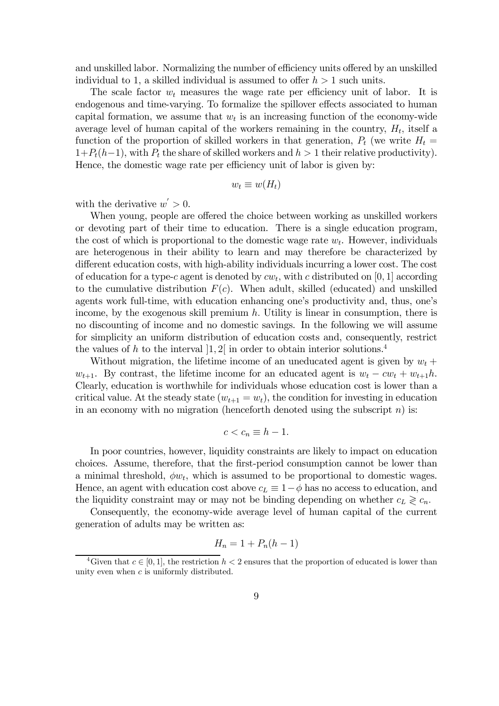and unskilled labor. Normalizing the number of efficiency units offered by an unskilled individual to 1, a skilled individual is assumed to offer  $h > 1$  such units.

The scale factor  $w_t$  measures the wage rate per efficiency unit of labor. It is endogenous and time-varying. To formalize the spillover effects associated to human capital formation, we assume that  $w_t$  is an increasing function of the economy-wide average level of human capital of the workers remaining in the country,  $H_t$ , itself a function of the proportion of skilled workers in that generation,  $P_t$  (we write  $H_t =$  $1+P_t(h-1)$ , with  $P_t$  the share of skilled workers and  $h > 1$  their relative productivity). Hence, the domestic wage rate per efficiency unit of labor is given by:

$$
w_t \equiv w(H_t)
$$

with the derivative  $w' > 0$ .

When young, people are offered the choice between working as unskilled workers or devoting part of their time to education. There is a single education program, the cost of which is proportional to the domestic wage rate  $w_t$ . However, individuals are heterogenous in their ability to learn and may therefore be characterized by different education costs, with high-ability individuals incurring a lower cost. The cost of education for a type-c agent is denoted by  $cw_t$ , with c distributed on [0, 1] according to the cumulative distribution  $F(c)$ . When adult, skilled (educated) and unskilled agents work full-time, with education enhancing one's productivity and, thus, one's income, by the exogenous skill premium  $h$ . Utility is linear in consumption, there is no discounting of income and no domestic savings. In the following we will assume for simplicity an uniform distribution of education costs and, consequently, restrict the values of h to the interval  $[1,2]$  in order to obtain interior solutions.<sup>4</sup>

Without migration, the lifetime income of an uneducated agent is given by  $w_t$  +  $w_{t+1}$ . By contrast, the lifetime income for an educated agent is  $w_t - cw_t + w_{t+1}h$ . Clearly, education is worthwhile for individuals whose education cost is lower than a critical value. At the steady state  $(w_{t+1} = w_t)$ , the condition for investing in education in an economy with no migration (henceforth denoted using the subscript  $n$ ) is:

$$
c < c_n \equiv h - 1.
$$

In poor countries, however, liquidity constraints are likely to impact on education choices. Assume, therefore, that the first-period consumption cannot be lower than a minimal threshold,  $\phi w_t$ , which is assumed to be proportional to domestic wages. Hence, an agent with education cost above  $c_L \equiv 1-\phi$  has no access to education, and the liquidity constraint may or may not be binding depending on whether  $c_L \geq c_n$ .

Consequently, the economy-wide average level of human capital of the current generation of adults may be written as:

$$
H_n = 1 + P_n(h-1)
$$

<sup>&</sup>lt;sup>4</sup>Given that  $c \in [0, 1]$ , the restriction  $h < 2$  ensures that the proportion of educated is lower than unity even when  $c$  is uniformly distributed.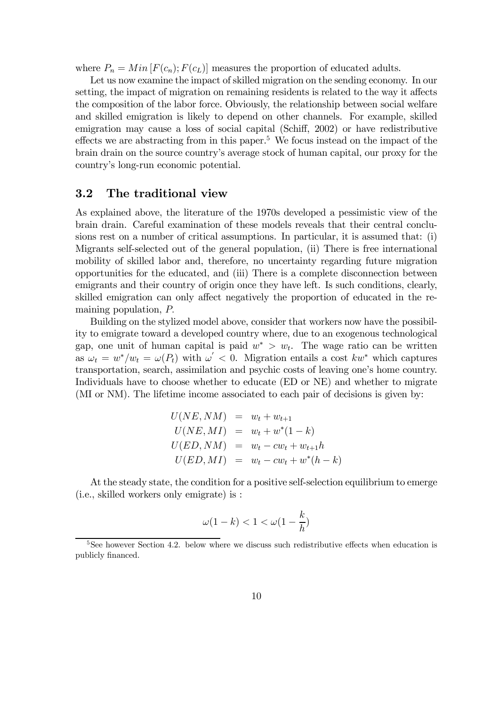where  $P_n = Min[F(c_n); F(c_L)]$  measures the proportion of educated adults.

Let us now examine the impact of skilled migration on the sending economy. In our setting, the impact of migration on remaining residents is related to the way it affects the composition of the labor force. Obviously, the relationship between social welfare and skilled emigration is likely to depend on other channels. For example, skilled emigration may cause a loss of social capital (Schiff, 2002) or have redistributive effects we are abstracting from in this paper.<sup>5</sup> We focus instead on the impact of the brain drain on the source country's average stock of human capital, our proxy for the country's long-run economic potential.

#### 3.2 The traditional view

As explained above, the literature of the 1970s developed a pessimistic view of the brain drain. Careful examination of these models reveals that their central conclusions rest on a number of critical assumptions. In particular, it is assumed that: (i) Migrants self-selected out of the general population, (ii) There is free international mobility of skilled labor and, therefore, no uncertainty regarding future migration opportunities for the educated, and (iii) There is a complete disconnection between emigrants and their country of origin once they have left. Is such conditions, clearly, skilled emigration can only affect negatively the proportion of educated in the remaining population, P:

Building on the stylized model above, consider that workers now have the possibility to emigrate toward a developed country where, due to an exogenous technological gap, one unit of human capital is paid  $w^* > w_t$ . The wage ratio can be written as  $\omega_t = w^*/w_t = \omega(P_t)$  with  $\omega' < 0$ . Migration entails a cost kw<sup>\*</sup> which captures transportation, search, assimilation and psychic costs of leaving one's home country. Individuals have to choose whether to educate (ED or NE) and whether to migrate (MI or NM). The lifetime income associated to each pair of decisions is given by:

$$
U(NE, NM) = w_t + w_{t+1}
$$
  
\n
$$
U(NE, MI) = w_t + w^*(1 - k)
$$
  
\n
$$
U(ED, NM) = w_t - cw_t + w_{t+1}h
$$
  
\n
$$
U(ED, MI) = w_t - cw_t + w^*(h - k)
$$

At the steady state, the condition for a positive self-selection equilibrium to emerge (i.e., skilled workers only emigrate) is :

$$
\omega(1-k) < 1 < \omega(1-\frac{k}{h})
$$

 $5$ See however Section 4.2. below where we discuss such redistributive effects when education is publicly financed.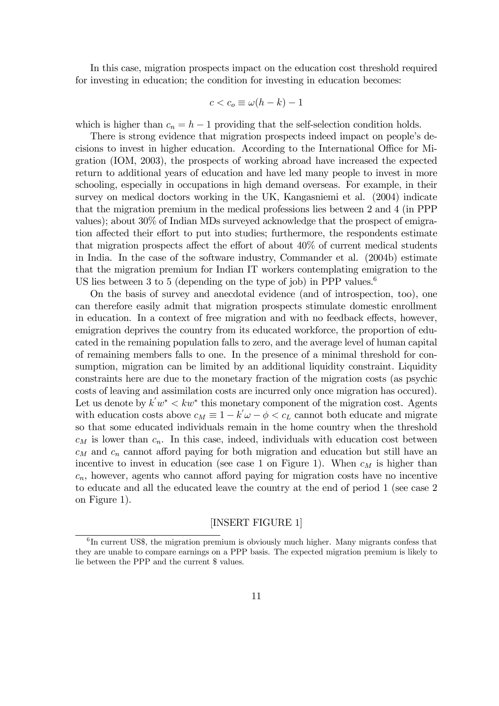In this case, migration prospects impact on the education cost threshold required for investing in education; the condition for investing in education becomes:

$$
c < c_o \equiv \omega(h - k) - 1
$$

which is higher than  $c_n = h - 1$  providing that the self-selection condition holds.

There is strong evidence that migration prospects indeed impact on people's decisions to invest in higher education. According to the International Office for Migration (IOM, 2003), the prospects of working abroad have increased the expected return to additional years of education and have led many people to invest in more schooling, especially in occupations in high demand overseas. For example, in their survey on medical doctors working in the UK, Kangasniemi et al. (2004) indicate that the migration premium in the medical professions lies between 2 and 4 (in PPP values); about 30% of Indian MDs surveyed acknowledge that the prospect of emigration affected their effort to put into studies; furthermore, the respondents estimate that migration prospects affect the effort of about  $40\%$  of current medical students in India. In the case of the software industry, Commander et al. (2004b) estimate that the migration premium for Indian IT workers contemplating emigration to the US lies between 3 to 5 (depending on the type of job) in PPP values.<sup>6</sup>

On the basis of survey and anecdotal evidence (and of introspection, too), one can therefore easily admit that migration prospects stimulate domestic enrollment in education. In a context of free migration and with no feedback effects, however, emigration deprives the country from its educated workforce, the proportion of educated in the remaining population falls to zero, and the average level of human capital of remaining members falls to one. In the presence of a minimal threshold for consumption, migration can be limited by an additional liquidity constraint. Liquidity constraints here are due to the monetary fraction of the migration costs (as psychic costs of leaving and assimilation costs are incurred only once migration has occured). Let us denote by  $k'w^* < kw^*$  this monetary component of the migration cost. Agents with education costs above  $c_M \equiv 1 - k'\omega - \phi < c_L$  cannot both educate and migrate so that some educated individuals remain in the home country when the threshold  $c_M$  is lower than  $c_n$ . In this case, indeed, individuals with education cost between  $c_M$  and  $c_n$  cannot afford paying for both migration and education but still have an incentive to invest in education (see case 1 on Figure 1). When  $c_M$  is higher than  $c_n$ , however, agents who cannot afford paying for migration costs have no incentive to educate and all the educated leave the country at the end of period 1 (see case 2 on Figure 1).

#### [INSERT FIGURE 1]

 $6$ In current US\$, the migration premium is obviously much higher. Many migrants confess that they are unable to compare earnings on a PPP basis. The expected migration premium is likely to lie between the PPP and the current \$ values.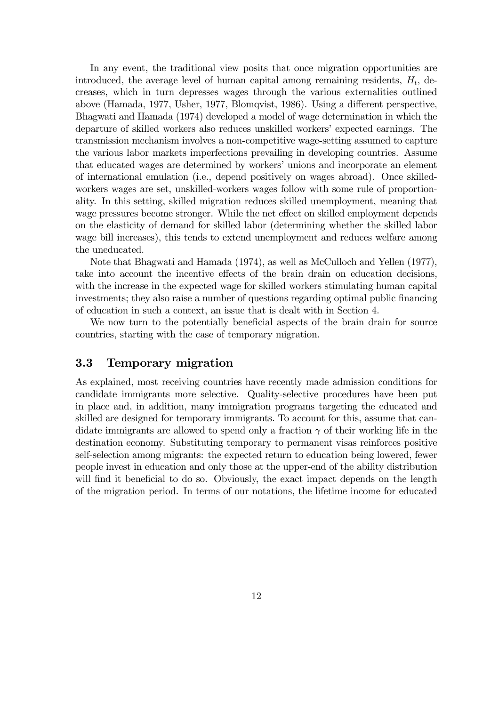In any event, the traditional view posits that once migration opportunities are introduced, the average level of human capital among remaining residents,  $H_t$ , decreases, which in turn depresses wages through the various externalities outlined above (Hamada, 1977, Usher, 1977, Blomqvist, 1986). Using a different perspective, Bhagwati and Hamada (1974) developed a model of wage determination in which the departure of skilled workers also reduces unskilled workers' expected earnings. The transmission mechanism involves a non-competitive wage-setting assumed to capture the various labor markets imperfections prevailing in developing countries. Assume that educated wages are determined by workers' unions and incorporate an element of international emulation (i.e., depend positively on wages abroad). Once skilledworkers wages are set, unskilled-workers wages follow with some rule of proportionality. In this setting, skilled migration reduces skilled unemployment, meaning that wage pressures become stronger. While the net effect on skilled employment depends on the elasticity of demand for skilled labor (determining whether the skilled labor wage bill increases), this tends to extend unemployment and reduces welfare among the uneducated.

Note that Bhagwati and Hamada (1974), as well as McCulloch and Yellen (1977), take into account the incentive effects of the brain drain on education decisions, with the increase in the expected wage for skilled workers stimulating human capital investments; they also raise a number of questions regarding optimal public financing of education in such a context, an issue that is dealt with in Section 4.

We now turn to the potentially beneficial aspects of the brain drain for source countries, starting with the case of temporary migration.

#### 3.3 Temporary migration

As explained, most receiving countries have recently made admission conditions for candidate immigrants more selective. Quality-selective procedures have been put in place and, in addition, many immigration programs targeting the educated and skilled are designed for temporary immigrants. To account for this, assume that candidate immigrants are allowed to spend only a fraction  $\gamma$  of their working life in the destination economy. Substituting temporary to permanent visas reinforces positive self-selection among migrants: the expected return to education being lowered, fewer people invest in education and only those at the upper-end of the ability distribution will find it beneficial to do so. Obviously, the exact impact depends on the length of the migration period. In terms of our notations, the lifetime income for educated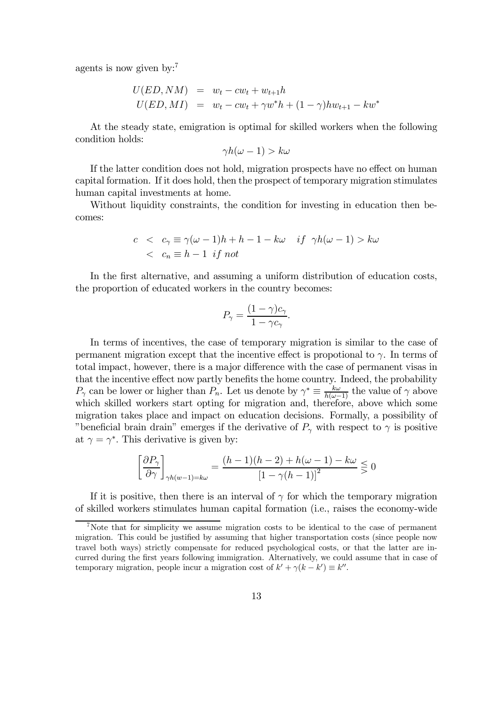agents is now given by:<sup>7</sup>

$$
U(ED, NM) = w_t - cw_t + w_{t+1}h
$$
  

$$
U(ED, MI) = w_t - cw_t + \gamma w^* h + (1 - \gamma) h w_{t+1} - kw^*
$$

At the steady state, emigration is optimal for skilled workers when the following condition holds:

$$
\gamma h(\omega - 1) > k\omega
$$

If the latter condition does not hold, migration prospects have no effect on human capital formation. If it does hold, then the prospect of temporary migration stimulates human capital investments at home.

Without liquidity constraints, the condition for investing in education then becomes:

$$
c < c_{\gamma} \equiv \gamma(\omega - 1)h + h - 1 - k\omega \quad \text{if} \quad \gamma h(\omega - 1) > k\omega
$$
  

$$
< c_n \equiv h - 1 \quad \text{if not}
$$

In the first alternative, and assuming a uniform distribution of education costs, the proportion of educated workers in the country becomes:

$$
P_{\gamma} = \frac{(1 - \gamma)c_{\gamma}}{1 - \gamma c_{\gamma}}.
$$

In terms of incentives, the case of temporary migration is similar to the case of permanent migration except that the incentive effect is propotional to  $\gamma$ . In terms of total impact, however, there is a major difference with the case of permanent visas in that the incentive effect now partly benefits the home country. Indeed, the probability  $P_{\gamma}$  can be lower or higher than  $P_n$ . Let us denote by  $\gamma^* \equiv \frac{k\omega}{h(\omega-1)}$  the value of  $\gamma$  above which skilled workers start opting for migration and, therefore, above which some migration takes place and impact on education decisions. Formally, a possibility of "beneficial brain drain" emerges if the derivative of  $P_{\gamma}$  with respect to  $\gamma$  is positive at  $\gamma = \gamma^*$ . This derivative is given by:

$$
\left[\frac{\partial P_{\gamma}}{\partial \gamma}\right]_{\gamma h(w-1)=k\omega} = \frac{(h-1)(h-2)+h(\omega-1)-k\omega}{\left[1-\gamma(h-1)\right]^2} \lesssim 0
$$

If it is positive, then there is an interval of  $\gamma$  for which the temporary migration of skilled workers stimulates human capital formation (i.e., raises the economy-wide

<sup>7</sup>Note that for simplicity we assume migration costs to be identical to the case of permanent migration. This could be justified by assuming that higher transportation costs (since people now travel both ways) strictly compensate for reduced psychological costs, or that the latter are incurred during the first years following immigration. Alternatively, we could assume that in case of temporary migration, people incur a migration cost of  $k' + \gamma(k - k') \equiv k''$ .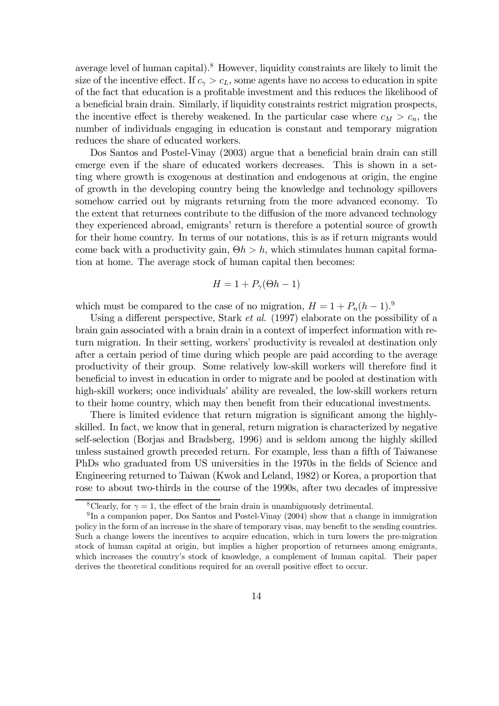average level of human capital).<sup>8</sup> However, liquidity constraints are likely to limit the size of the incentive effect. If  $c_{\gamma} > c_{L}$ , some agents have no access to education in spite of the fact that education is a profitable investment and this reduces the likelihood of a beneficial brain drain. Similarly, if liquidity constraints restrict migration prospects, the incentive effect is thereby weakened. In the particular case where  $c_M > c_n$ , the number of individuals engaging in education is constant and temporary migration reduces the share of educated workers.

Dos Santos and Postel-Vinay (2003) argue that a beneficial brain drain can still emerge even if the share of educated workers decreases. This is shown in a setting where growth is exogenous at destination and endogenous at origin, the engine of growth in the developing country being the knowledge and technology spillovers somehow carried out by migrants returning from the more advanced economy. To the extent that returnees contribute to the diffusion of the more advanced technology they experienced abroad, emigrants' return is therefore a potential source of growth for their home country. In terms of our notations, this is as if return migrants would come back with a productivity gain,  $\Theta h > h$ , which stimulates human capital formation at home. The average stock of human capital then becomes:

$$
H=1+P_{\gamma}(\Theta h-1)
$$

which must be compared to the case of no migration,  $H = 1 + P_n(h - 1)$ .

Using a different perspective, Stark *et al.* (1997) elaborate on the possibility of a brain gain associated with a brain drain in a context of imperfect information with return migration. In their setting, workers' productivity is revealed at destination only after a certain period of time during which people are paid according to the average productivity of their group. Some relatively low-skill workers will therefore find it beneficial to invest in education in order to migrate and be pooled at destination with high-skill workers; once individuals' ability are revealed, the low-skill workers return to their home country, which may then benefit from their educational investments.

There is limited evidence that return migration is significant among the highlyskilled. In fact, we know that in general, return migration is characterized by negative self-selection (Borjas and Bradsberg, 1996) and is seldom among the highly skilled unless sustained growth preceded return. For example, less than a fifth of Taiwanese PhDs who graduated from US universities in the 1970s in the fields of Science and Engineering returned to Taiwan (Kwok and Leland, 1982) or Korea, a proportion that rose to about two-thirds in the course of the 1990s, after two decades of impressive

<sup>&</sup>lt;sup>8</sup>Clearly, for  $\gamma = 1$ , the effect of the brain drain is unambiguously detrimental.

<sup>&</sup>lt;sup>9</sup>In a companion paper, Dos Santos and Postel-Vinay (2004) show that a change in immigration policy in the form of an increase in the share of temporary visas, may benefit to the sending countries. Such a change lowers the incentives to acquire education, which in turn lowers the pre-migration stock of human capital at origin, but implies a higher proportion of returnees among emigrants, which increases the country's stock of knowledge, a complement of human capital. Their paper derives the theoretical conditions required for an overall positive effect to occur.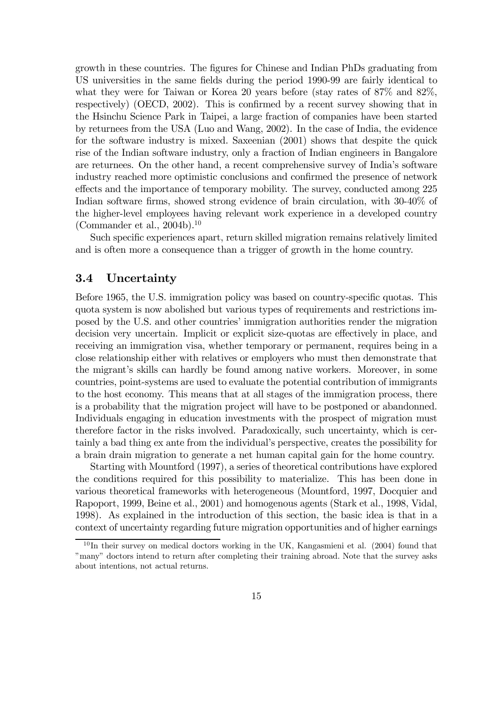growth in these countries. The figures for Chinese and Indian PhDs graduating from US universities in the same fields during the period 1990-99 are fairly identical to what they were for Taiwan or Korea 20 years before (stay rates of 87% and 82%, respectively) (OECD,  $2002$ ). This is confirmed by a recent survey showing that in the Hsinchu Science Park in Taipei, a large fraction of companies have been started by returnees from the USA (Luo and Wang, 2002). In the case of India, the evidence for the software industry is mixed. Saxeenian (2001) shows that despite the quick rise of the Indian software industry, only a fraction of Indian engineers in Bangalore are returnees. On the other hand, a recent comprehensive survey of India's software industry reached more optimistic conclusions and confirmed the presence of network effects and the importance of temporary mobility. The survey, conducted among 225 Indian software firms, showed strong evidence of brain circulation, with 30-40% of the higher-level employees having relevant work experience in a developed country (Commander et al.,  $2004b$ ).<sup>10</sup>

Such specific experiences apart, return skilled migration remains relatively limited and is often more a consequence than a trigger of growth in the home country.

#### 3.4 Uncertainty

Before 1965, the U.S. immigration policy was based on country-specific quotas. This quota system is now abolished but various types of requirements and restrictions imposed by the U.S. and other countries' immigration authorities render the migration decision very uncertain. Implicit or explicit size-quotas are effectively in place, and receiving an immigration visa, whether temporary or permanent, requires being in a close relationship either with relatives or employers who must then demonstrate that the migrant's skills can hardly be found among native workers. Moreover, in some countries, point-systems are used to evaluate the potential contribution of immigrants to the host economy. This means that at all stages of the immigration process, there is a probability that the migration project will have to be postponed or abandonned. Individuals engaging in education investments with the prospect of migration must therefore factor in the risks involved. Paradoxically, such uncertainty, which is certainly a bad thing ex ante from the individual's perspective, creates the possibility for a brain drain migration to generate a net human capital gain for the home country.

Starting with Mountford (1997), a series of theoretical contributions have explored the conditions required for this possibility to materialize. This has been done in various theoretical frameworks with heterogeneous (Mountford, 1997, Docquier and Rapoport, 1999, Beine et al., 2001) and homogenous agents (Stark et al., 1998, Vidal, 1998). As explained in the introduction of this section, the basic idea is that in a context of uncertainty regarding future migration opportunities and of higher earnings

 $10$ In their survey on medical doctors working in the UK, Kangasmieni et al. (2004) found that "many" doctors intend to return after completing their training abroad. Note that the survey asks about intentions, not actual returns.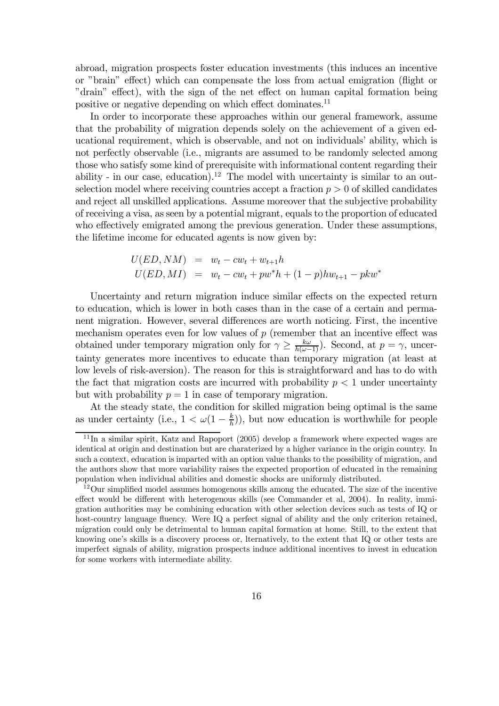abroad, migration prospects foster education investments (this induces an incentive or "brain" effect) which can compensate the loss from actual emigration (flight or "drain" effect), with the sign of the net effect on human capital formation being positive or negative depending on which effect dominates.<sup>11</sup>

In order to incorporate these approaches within our general framework, assume that the probability of migration depends solely on the achievement of a given educational requirement, which is observable, and not on individuals' ability, which is not perfectly observable (i.e., migrants are assumed to be randomly selected among those who satisfy some kind of prerequisite with informational content regarding their ability - in our case, education).<sup>12</sup> The model with uncertainty is similar to an outselection model where receiving countries accept a fraction  $p > 0$  of skilled candidates and reject all unskilled applications. Assume moreover that the subjective probability of receiving a visa, as seen by a potential migrant, equals to the proportion of educated who effectively emigrated among the previous generation. Under these assumptions, the lifetime income for educated agents is now given by:

$$
U(ED, NM) = w_t - cw_t + w_{t+1}h
$$
  
 
$$
U(ED, MI) = w_t - cw_t + pw^*h + (1 - p)hw_{t+1} - pkw^*
$$

Uncertainty and return migration induce similar effects on the expected return to education, which is lower in both cases than in the case of a certain and permanent migration. However, several differences are worth noticing. First, the incentive mechanism operates even for low values of  $p$  (remember that an incentive effect was obtained under temporary migration only for  $\gamma \geq \frac{k\omega}{h(\omega-1)}$ . Second, at  $p = \gamma$ , uncertainty generates more incentives to educate than temporary migration (at least at low levels of risk-aversion). The reason for this is straightforward and has to do with the fact that migration costs are incurred with probability  $p < 1$  under uncertainty but with probability  $p = 1$  in case of temporary migration.

At the steady state, the condition for skilled migration being optimal is the same as under certainty (i.e.,  $1 < \omega(1 - \frac{k}{h})$ ), but now education is worthwhile for people

 $11$ In a similar spirit, Katz and Rapoport (2005) develop a framework where expected wages are identical at origin and destination but are charaterized by a higher variance in the origin country. In such a context, education is imparted with an option value thanks to the possibility of migration, and the authors show that more variability raises the expected proportion of educated in the remaining population when individual abilities and domestic shocks are uniformly distributed.

 $12$ Our simplified model assumes homogenous skills among the educated. The size of the incentive effect would be different with heterogenous skills (see Commander et al, 2004). In reality, immigration authorities may be combining education with other selection devices such as tests of IQ or host-country language fluency. Were IQ a perfect signal of ability and the only criterion retained, migration could only be detrimental to human capital formation at home. Still, to the extent that knowing one's skills is a discovery process or, lternatively, to the extent that IQ or other tests are imperfect signals of ability, migration prospects induce additional incentives to invest in education for some workers with intermediate ability.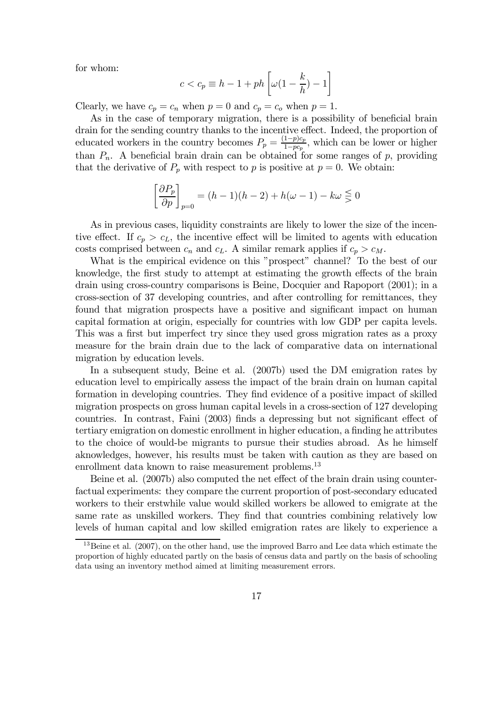for whom:

$$
c < c_p \equiv h - 1 + p h \left[ \omega \left( 1 - \frac{k}{h} \right) - 1 \right]
$$

Clearly, we have  $c_p = c_n$  when  $p = 0$  and  $c_p = c_o$  when  $p = 1$ .

As in the case of temporary migration, there is a possibility of beneficial brain drain for the sending country thanks to the incentive effect. Indeed, the proportion of educated workers in the country becomes  $P_p = \frac{(1-p)c_p}{1-pc_p}$ , which can be lower or higher than  $P_n$ . A beneficial brain drain can be obtained for some ranges of p, providing that the derivative of  $P_p$  with respect to p is positive at  $p = 0$ . We obtain:

$$
\left[\frac{\partial P_p}{\partial p}\right]_{p=0} = (h-1)(h-2) + h(\omega - 1) - k\omega \leq 0
$$

As in previous cases, liquidity constraints are likely to lower the size of the incentive effect. If  $c_p > c_l$ , the incentive effect will be limited to agents with education costs comprised between  $c_n$  and  $c_L$ . A similar remark applies if  $c_p > c_M$ .

What is the empirical evidence on this "prospect" channel? To the best of our knowledge, the first study to attempt at estimating the growth effects of the brain drain using cross-country comparisons is Beine, Docquier and Rapoport (2001); in a cross-section of 37 developing countries, and after controlling for remittances, they found that migration prospects have a positive and significant impact on human capital formation at origin, especially for countries with low GDP per capita levels. This was a first but imperfect try since they used gross migration rates as a proxy measure for the brain drain due to the lack of comparative data on international migration by education levels.

In a subsequent study, Beine et al. (2007b) used the DM emigration rates by education level to empirically assess the impact of the brain drain on human capital formation in developing countries. They find evidence of a positive impact of skilled migration prospects on gross human capital levels in a cross-section of 127 developing countries. In contrast, Faini  $(2003)$  finds a depressing but not significant effect of tertiary emigration on domestic enrollment in higher education, a finding he attributes to the choice of would-be migrants to pursue their studies abroad. As he himself aknowledges, however, his results must be taken with caution as they are based on enrollment data known to raise measurement problems.<sup>13</sup>

Beine et al. (2007b) also computed the net effect of the brain drain using counterfactual experiments: they compare the current proportion of post-secondary educated workers to their erstwhile value would skilled workers be allowed to emigrate at the same rate as unskilled workers. They find that countries combining relatively low levels of human capital and low skilled emigration rates are likely to experience a

<sup>&</sup>lt;sup>13</sup>Beine et al. (2007), on the other hand, use the improved Barro and Lee data which estimate the proportion of highly educated partly on the basis of census data and partly on the basis of schooling data using an inventory method aimed at limiting measurement errors.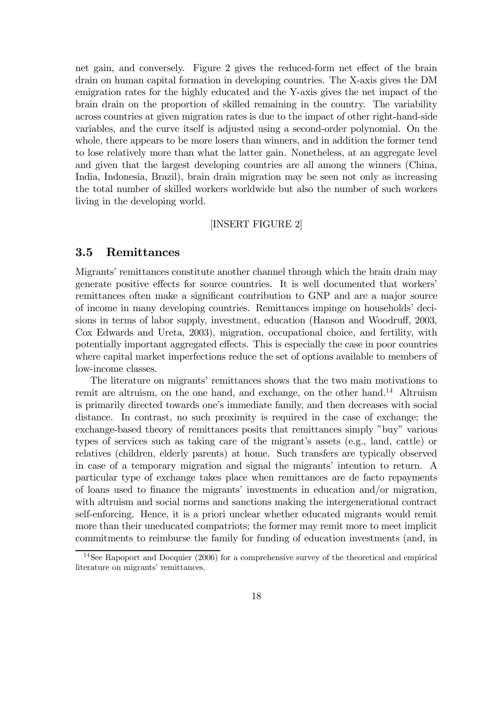net gain, and conversely. Figure 2 gives the reduced-form net effect of the brain drain on human capital formation in developing countries. The X-axis gives the DM emigration rates for the highly educated and the Y-axis gives the net impact of the brain drain on the proportion of skilled remaining in the country. The variability across countries at given migration rates is due to the impact of other right-hand-side variables, and the curve itself is adjusted using a second-order polynomial. On the whole, there appears to be more losers than winners, and in addition the former tend to lose relatively more than what the latter gain. Nonetheless, at an aggregate level and given that the largest developing countries are all among the winners (China, India, Indonesia, Brazil), brain drain migration may be seen not only as increasing the total number of skilled workers worldwide but also the number of such workers living in the developing world.

#### [INSERT FIGURE 2]

#### 3.5 Remittances

Migrants' remittances constitute another channel through which the brain drain may generate positive effects for source countries. It is well documented that workers' remittances often make a significant contribution to GNP and are a major source of income in many developing countries. Remittances impinge on households' decisions in terms of labor supply, investment, education (Hanson and Woodruff, 2003, Cox Edwards and Ureta, 2003), migration, occupational choice, and fertility, with potentially important aggregated effects. This is especially the case in poor countries where capital market imperfections reduce the set of options available to members of low-income classes.

The literature on migrants' remittances shows that the two main motivations to remit are altruism, on the one hand, and exchange, on the other hand.<sup>14</sup> Altruism is primarily directed towards one's immediate family, and then decreases with social distance. In contrast, no such proximity is required in the case of exchange; the exchange-based theory of remittances posits that remittances simply "buy" various types of services such as taking care of the migrant's assets (e.g., land, cattle) or relatives (children, elderly parents) at home. Such transfers are typically observed in case of a temporary migration and signal the migrants' intention to return. A particular type of exchange takes place when remittances are de facto repayments of loans used to finance the migrants' investments in education and/or migration, with altruism and social norms and sanctions making the intergenerational contract self-enforcing. Hence, it is a priori unclear whether educated migrants would remit more than their uneducated compatriots; the former may remit more to meet implicit commitments to reimburse the family for funding of education investments (and, in

<sup>&</sup>lt;sup>14</sup>See Rapoport and Docquier (2006) for a comprehensive survey of the theoretical and empirical literature on migrants' remittances.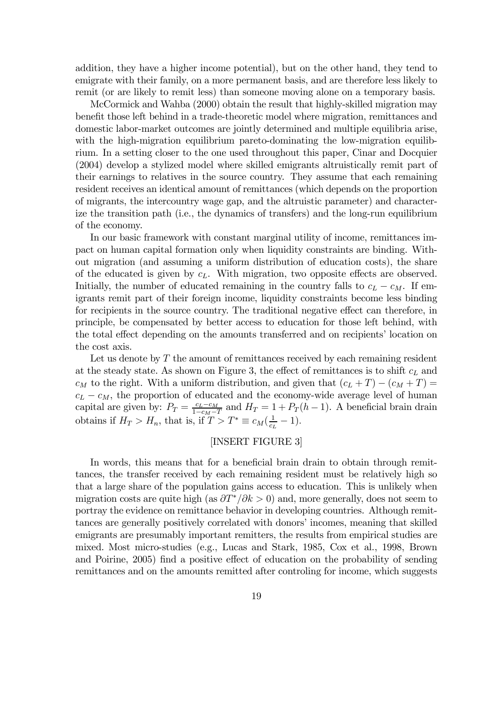addition, they have a higher income potential), but on the other hand, they tend to emigrate with their family, on a more permanent basis, and are therefore less likely to remit (or are likely to remit less) than someone moving alone on a temporary basis.

McCormick and Wahba (2000) obtain the result that highly-skilled migration may benefit those left behind in a trade-theoretic model where migration, remittances and domestic labor-market outcomes are jointly determined and multiple equilibria arise, with the high-migration equilibrium pareto-dominating the low-migration equilibrium. In a setting closer to the one used throughout this paper, Cinar and Docquier (2004) develop a stylized model where skilled emigrants altruistically remit part of their earnings to relatives in the source country. They assume that each remaining resident receives an identical amount of remittances (which depends on the proportion of migrants, the intercountry wage gap, and the altruistic parameter) and characterize the transition path (i.e., the dynamics of transfers) and the long-run equilibrium of the economy.

In our basic framework with constant marginal utility of income, remittances impact on human capital formation only when liquidity constraints are binding. Without migration (and assuming a uniform distribution of education costs), the share of the educated is given by  $c<sub>L</sub>$ . With migration, two opposite effects are observed. Initially, the number of educated remaining in the country falls to  $c_L - c_M$ . If emigrants remit part of their foreign income, liquidity constraints become less binding for recipients in the source country. The traditional negative effect can therefore, in principle, be compensated by better access to education for those left behind, with the total effect depending on the amounts transferred and on recipients' location on the cost axis.

Let us denote by T the amount of remittances received by each remaining resident at the steady state. As shown on Figure 3, the effect of remittances is to shift  $c<sub>L</sub>$  and  $c_M$  to the right. With a uniform distribution, and given that  $(c_L + T) - (c_M + T) =$  $c_L - c_M$ , the proportion of educated and the economy-wide average level of human capital are given by:  $P_T = \frac{c_L - c_M}{1 - c_M - T}$  and  $H_T = 1 + P_T (h - 1)$ . A beneficial brain drain obtains if  $H_T > H_n$ , that is, if  $T > T^* \equiv c_M(\frac{1}{c_L} - 1)$ .

#### [INSERT FIGURE 3]

In words, this means that for a beneficial brain drain to obtain through remittances, the transfer received by each remaining resident must be relatively high so that a large share of the population gains access to education. This is unlikely when migration costs are quite high (as  $\partial T^*/\partial k > 0$ ) and, more generally, does not seem to portray the evidence on remittance behavior in developing countries. Although remittances are generally positively correlated with donors' incomes, meaning that skilled emigrants are presumably important remitters, the results from empirical studies are mixed. Most micro-studies (e.g., Lucas and Stark, 1985, Cox et al., 1998, Brown and Poirine, 2005) find a positive effect of education on the probability of sending remittances and on the amounts remitted after controling for income, which suggests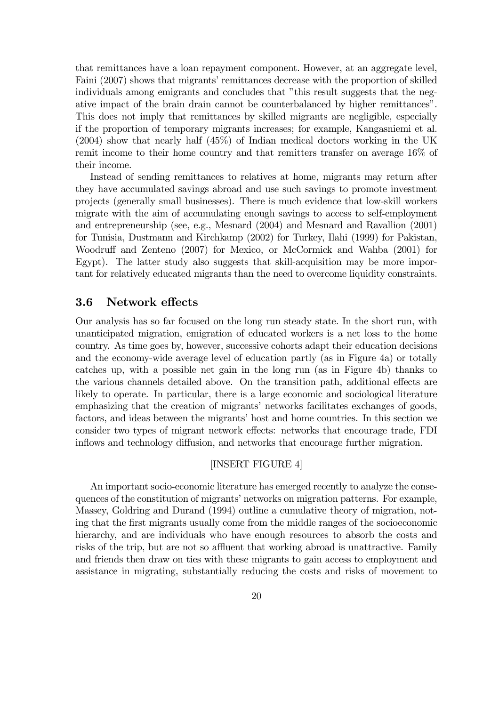that remittances have a loan repayment component. However, at an aggregate level, Faini (2007) shows that migrants' remittances decrease with the proportion of skilled individuals among emigrants and concludes that "this result suggests that the negative impact of the brain drain cannot be counterbalanced by higher remittances". This does not imply that remittances by skilled migrants are negligible, especially if the proportion of temporary migrants increases; for example, Kangasniemi et al. (2004) show that nearly half (45%) of Indian medical doctors working in the UK remit income to their home country and that remitters transfer on average 16% of their income.

Instead of sending remittances to relatives at home, migrants may return after they have accumulated savings abroad and use such savings to promote investment projects (generally small businesses). There is much evidence that low-skill workers migrate with the aim of accumulating enough savings to access to self-employment and entrepreneurship (see, e.g., Mesnard (2004) and Mesnard and Ravallion (2001) for Tunisia, Dustmann and Kirchkamp (2002) for Turkey, Ilahi (1999) for Pakistan, Woodruff and Zenteno (2007) for Mexico, or McCormick and Wahba (2001) for Egypt). The latter study also suggests that skill-acquisition may be more important for relatively educated migrants than the need to overcome liquidity constraints.

#### 3.6 Network effects

Our analysis has so far focused on the long run steady state. In the short run, with unanticipated migration, emigration of educated workers is a net loss to the home country. As time goes by, however, successive cohorts adapt their education decisions and the economy-wide average level of education partly (as in Figure 4a) or totally catches up, with a possible net gain in the long run (as in Figure 4b) thanks to the various channels detailed above. On the transition path, additional effects are likely to operate. In particular, there is a large economic and sociological literature emphasizing that the creation of migrants' networks facilitates exchanges of goods, factors, and ideas between the migrants' host and home countries. In this section we consider two types of migrant network effects: networks that encourage trade, FDI inflows and technology diffusion, and networks that encourage further migration.

#### [INSERT FIGURE 4]

An important socio-economic literature has emerged recently to analyze the consequences of the constitution of migrants' networks on migration patterns. For example, Massey, Goldring and Durand (1994) outline a cumulative theory of migration, noting that the first migrants usually come from the middle ranges of the socioeconomic hierarchy, and are individuals who have enough resources to absorb the costs and risks of the trip, but are not so affluent that working abroad is unattractive. Family and friends then draw on ties with these migrants to gain access to employment and assistance in migrating, substantially reducing the costs and risks of movement to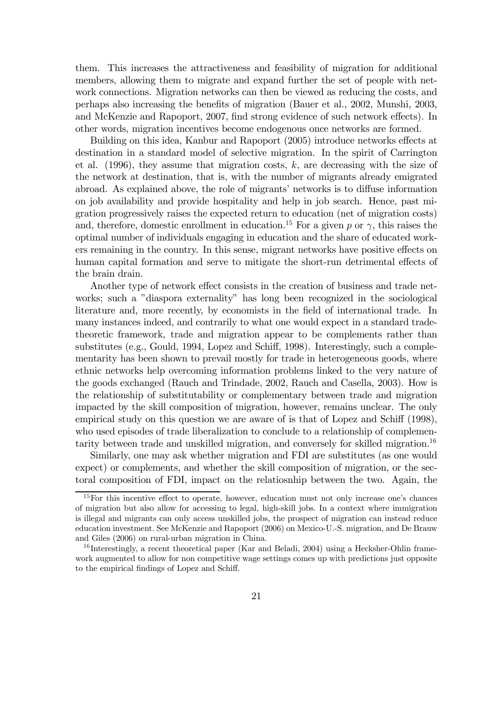them. This increases the attractiveness and feasibility of migration for additional members, allowing them to migrate and expand further the set of people with network connections. Migration networks can then be viewed as reducing the costs, and perhaps also increasing the benefits of migration (Bauer et al., 2002, Munshi, 2003, and McKenzie and Rapoport, 2007, find strong evidence of such network effects). In other words, migration incentives become endogenous once networks are formed.

Building on this idea, Kanbur and Rapoport (2005) introduce networks effects at destination in a standard model of selective migration. In the spirit of Carrington et al.  $(1996)$ , they assume that migration costs, k, are decreasing with the size of the network at destination, that is, with the number of migrants already emigrated abroad. As explained above, the role of migrants' networks is to diffuse information on job availability and provide hospitality and help in job search. Hence, past migration progressively raises the expected return to education (net of migration costs) and, therefore, domestic enrollment in education.<sup>15</sup> For a given p or  $\gamma$ , this raises the optimal number of individuals engaging in education and the share of educated workers remaining in the country. In this sense, migrant networks have positive effects on human capital formation and serve to mitigate the short-run detrimental effects of the brain drain.

Another type of network effect consists in the creation of business and trade networks; such a "diaspora externality" has long been recognized in the sociological literature and, more recently, by economists in the field of international trade. In many instances indeed, and contrarily to what one would expect in a standard tradetheoretic framework, trade and migration appear to be complements rather than substitutes (e.g., Gould, 1994, Lopez and Schiff, 1998). Interestingly, such a complementarity has been shown to prevail mostly for trade in heterogeneous goods, where ethnic networks help overcoming information problems linked to the very nature of the goods exchanged (Rauch and Trindade, 2002, Rauch and Casella, 2003). How is the relationship of substitutability or complementary between trade and migration impacted by the skill composition of migration, however, remains unclear. The only empirical study on this question we are aware of is that of Lopez and Schiff (1998), who used episodes of trade liberalization to conclude to a relationship of complementarity between trade and unskilled migration, and conversely for skilled migration.16

Similarly, one may ask whether migration and FDI are substitutes (as one would expect) or complements, and whether the skill composition of migration, or the sectoral composition of FDI, impact on the relatiosnhip between the two. Again, the

 $15$  For this incentive effect to operate, however, education must not only increase one's chances of migration but also allow for accessing to legal, high-skill jobs. In a context where immigration is illegal and migrants can only access unskilled jobs, the prospect of migration can instead reduce education investment. See McKenzie and Rapoport (2006) on Mexico-U.-S. migration, and De Brauw and Giles (2006) on rural-urban migration in China.

<sup>&</sup>lt;sup>16</sup> Interestingly, a recent theoretical paper (Kar and Beladi, 2004) using a Hecksher-Ohlin framework augmented to allow for non competitive wage settings comes up with predictions just opposite to the empirical findings of Lopez and Schiff.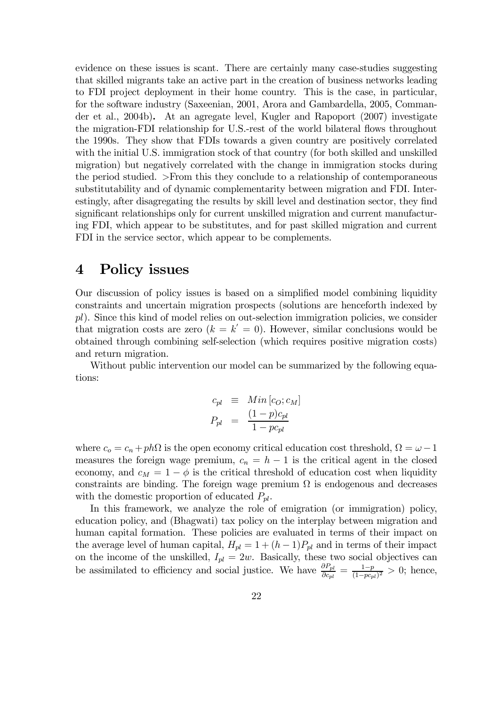evidence on these issues is scant. There are certainly many case-studies suggesting that skilled migrants take an active part in the creation of business networks leading to FDI project deployment in their home country. This is the case, in particular, for the software industry (Saxeenian, 2001, Arora and Gambardella, 2005, Commander et al., 2004b). At an agregate level, Kugler and Rapoport (2007) investigate the migration-FDI relationship for U.S.-rest of the world bilateral flows throughout the 1990s. They show that FDIs towards a given country are positively correlated with the initial U.S. immigration stock of that country (for both skilled and unskilled migration) but negatively correlated with the change in immigration stocks during the period studied. >From this they conclude to a relationship of contemporaneous substitutability and of dynamic complementarity between migration and FDI. Interestingly, after disagregating the results by skill level and destination sector, they find significant relationships only for current unskilled migration and current manufacturing FDI, which appear to be substitutes, and for past skilled migration and current FDI in the service sector, which appear to be complements.

## 4 Policy issues

Our discussion of policy issues is based on a simplified model combining liquidity constraints and uncertain migration prospects (solutions are henceforth indexed by pl). Since this kind of model relies on out-selection immigration policies, we consider that migration costs are zero  $(k = k' = 0)$ . However, similar conclusions would be obtained through combining self-selection (which requires positive migration costs) and return migration.

Without public intervention our model can be summarized by the following equations:

$$
c_{pl} \equiv Min[c_O; c_M]
$$
  

$$
P_{pl} = \frac{(1-p)c_{pl}}{1-pc_{pl}}
$$

where  $c_o = c_n + ph\Omega$  is the open economy critical education cost threshold,  $\Omega = \omega - 1$ measures the foreign wage premium,  $c_n = h - 1$  is the critical agent in the closed economy, and  $c_M = 1 - \phi$  is the critical threshold of education cost when liquidity constraints are binding. The foreign wage premium  $\Omega$  is endogenous and decreases with the domestic proportion of educated  $P_{pl}$ .

In this framework, we analyze the role of emigration (or immigration) policy, education policy, and (Bhagwati) tax policy on the interplay between migration and human capital formation. These policies are evaluated in terms of their impact on the average level of human capital,  $H_{pl} = 1 + (h - 1)P_{pl}$  and in terms of their impact on the income of the unskilled,  $I_{pl} = 2w$ . Basically, these two social objectives can be assimilated to efficiency and social justice. We have  $\frac{\partial P_{pl}}{\partial c_{pl}} = \frac{1-p}{(1-p c_{pl})^2} > 0$ ; hence,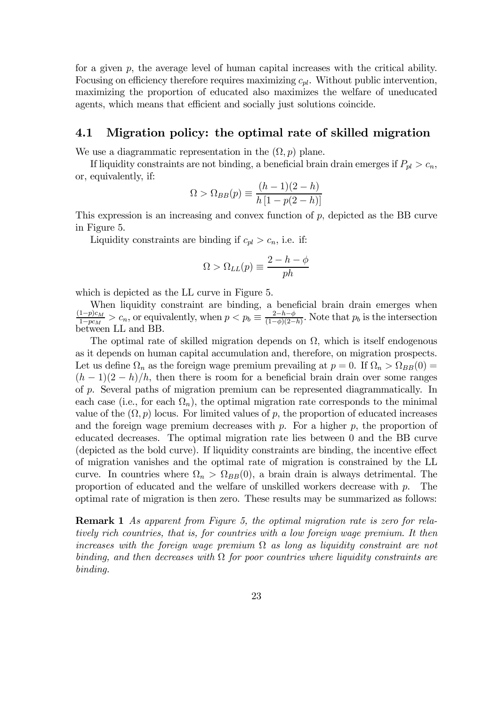for a given  $p$ , the average level of human capital increases with the critical ability. Focusing on efficiency therefore requires maximizing  $c_{pl}$ . Without public intervention, maximizing the proportion of educated also maximizes the welfare of uneducated agents, which means that efficient and socially just solutions coincide.

#### 4.1 Migration policy: the optimal rate of skilled migration

We use a diagrammatic representation in the  $(\Omega, p)$  plane.

If liquidity constraints are not binding, a beneficial brain drain emerges if  $P_{pl} > c_n$ , or, equivalently, if:

$$
\Omega > \Omega_{BB}(p) \equiv \frac{(h-1)(2-h)}{h\left[1-p(2-h)\right]}
$$

This expression is an increasing and convex function of  $p$ , depicted as the BB curve in Figure 5.

Liquidity constraints are binding if  $c_{pl} > c_n$ , i.e. if:

$$
\Omega > \Omega_{LL}(p) \equiv \frac{2 - h - \phi}{ph}
$$

which is depicted as the LL curve in Figure 5.

When liquidity constraint are binding, a beneficial brain drain emerges when  $\frac{(1-p)c_M}{1-pc_M} > c_n$ , or equivalently, when  $p < p_b \equiv \frac{2-h-\phi}{(1-\phi)(2-h)}$ . Note that  $p_b$  is the intersection between LL and BB.

The optimal rate of skilled migration depends on  $\Omega$ , which is itself endogenous as it depends on human capital accumulation and, therefore, on migration prospects. Let us define  $\Omega_n$  as the foreign wage premium prevailing at  $p = 0$ . If  $\Omega_n > \Omega_{BB}(0) =$  $(h-1)(2-h)/h$ , then there is room for a beneficial brain drain over some ranges of p. Several paths of migration premium can be represented diagrammatically. In each case (i.e., for each  $\Omega_n$ ), the optimal migration rate corresponds to the minimal value of the  $(\Omega, p)$  locus. For limited values of p, the proportion of educated increases and the foreign wage premium decreases with  $p$ . For a higher  $p$ , the proportion of educated decreases. The optimal migration rate lies between 0 and the BB curve (depicted as the bold curve). If liquidity constraints are binding, the incentive effect of migration vanishes and the optimal rate of migration is constrained by the LL curve. In countries where  $\Omega_n > \Omega_{BB}(0)$ , a brain drain is always detrimental. The proportion of educated and the welfare of unskilled workers decrease with  $p$ . The optimal rate of migration is then zero. These results may be summarized as follows:

Remark 1 As apparent from Figure 5, the optimal migration rate is zero for relatively rich countries, that is, for countries with a low foreign wage premium. It then increases with the foreign wage premium  $\Omega$  as long as liquidity constraint are not binding, and then decreases with  $\Omega$  for poor countries where liquidity constraints are binding.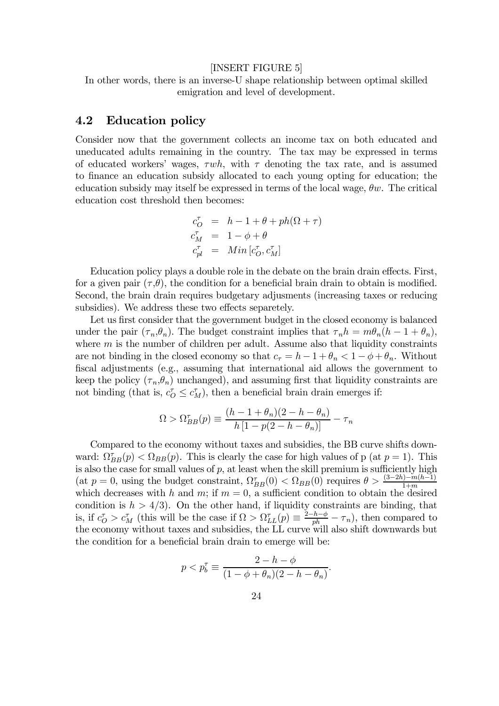#### [INSERT FIGURE 5]

In other words, there is an inverse-U shape relationship between optimal skilled emigration and level of development.

#### 4.2 Education policy

Consider now that the government collects an income tax on both educated and uneducated adults remaining in the country. The tax may be expressed in terms of educated workers' wages,  $\tau wh$ , with  $\tau$  denoting the tax rate, and is assumed to finance an education subsidy allocated to each young opting for education; the education subsidy may itself be expressed in terms of the local wage,  $\theta w$ . The critical education cost threshold then becomes:

$$
\begin{array}{rcl} c_O^{\tau} & = & h-1+\theta+ph(\Omega+\tau) \\ c_M^{\tau} & = & 1-\phi+\theta \\ c_{pl}^{\tau} & = & Min\left[c_O^{\tau},c_M^{\tau}\right] \end{array}
$$

Education policy plays a double role in the debate on the brain drain effects. First, for a given pair  $(\tau, \theta)$ , the condition for a beneficial brain drain to obtain is modified. Second, the brain drain requires budgetary adjusments (increasing taxes or reducing subsidies). We address these two effects separetely.

Let us first consider that the government budget in the closed economy is balanced under the pair  $(\tau_n, \theta_n)$ . The budget constraint implies that  $\tau_n h = m \theta_n (h - 1 + \theta_n)$ , where  $m$  is the number of children per adult. Assume also that liquidity constraints are not binding in the closed economy so that  $c<sub>\tau</sub> = h - 1 + \theta_n < 1 - \phi + \theta_n$ . Without fiscal adjustments (e.g., assuming that international aid allows the government to keep the policy  $(\tau_n, \theta_n)$  unchanged), and assuming first that liquidity constraints are not binding (that is,  $c_O^{\tau} \leq c_M^{\tau}$ ), then a beneficial brain drain emerges if:

$$
\Omega > \Omega_{BB}^{\tau}(p) \equiv \frac{(h - 1 + \theta_n)(2 - h - \theta_n)}{h [1 - p(2 - h - \theta_n)]} - \tau_n
$$

Compared to the economy without taxes and subsidies, the BB curve shifts downward:  $\Omega_{BB}^{\tau}(p) < \Omega_{BB}(p)$ . This is clearly the case for high values of p (at  $p = 1$ ). This is also the case for small values of  $p$ , at least when the skill premium is sufficiently high (at  $p = 0$ , using the budget constraint,  $\Omega_{BB}^{\tau}(0) < \Omega_{BB}(0)$  requires  $\theta > \frac{(3-2h)-m(h-1)}{1+m}$ which decreases with h and m; if  $m = 0$ , a sufficient condition to obtain the desired condition is  $h > 4/3$ . On the other hand, if liquidity constraints are binding, that is, if  $c_O^{\tau} > c_M^{\tau}$  (this will be the case if  $\Omega > \Omega_{LL}^{\tau}(p) \equiv \frac{2-h-\phi}{ph} - \tau_n$ ), then compared to the economy without taxes and subsidies, the LL curve will also shift downwards but the condition for a beneficial brain drain to emerge will be:

$$
p < p_b^{\tau} \equiv \frac{2 - h - \phi}{(1 - \phi + \theta_n)(2 - h - \theta_n)}.
$$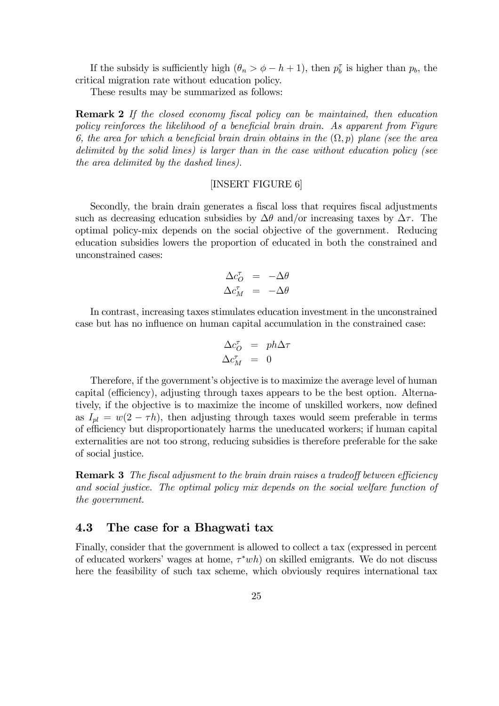If the subsidy is sufficiently high  $(\theta_n > \phi - h + 1)$ , then  $p_b^{\tau}$  is higher than  $p_b$ , the critical migration rate without education policy.

These results may be summarized as follows:

**Remark 2** If the closed economy fiscal policy can be maintained, then education policy reinforces the likelihood of a beneficial brain drain. As apparent from Figure 6, the area for which a beneficial brain drain obtains in the  $(\Omega, p)$  plane (see the area delimited by the solid lines) is larger than in the case without education policy (see the area delimited by the dashed lines).

#### [INSERT FIGURE 6]

Secondly, the brain drain generates a fiscal loss that requires fiscal adjustments such as decreasing education subsidies by  $\Delta\theta$  and/or increasing taxes by  $\Delta\tau$ . The optimal policy-mix depends on the social objective of the government. Reducing education subsidies lowers the proportion of educated in both the constrained and unconstrained cases:

$$
\Delta c_{O}^{\tau} = -\Delta \theta
$$
  

$$
\Delta c_{M}^{\tau} = -\Delta \theta
$$

In contrast, increasing taxes stimulates education investment in the unconstrained case but has no influence on human capital accumulation in the constrained case:

$$
\begin{array}{rcl}\n\Delta c_O^\tau & = & ph \Delta \tau \\
\Delta c_M^\tau & = & 0\n\end{array}
$$

Therefore, if the government's objective is to maximize the average level of human capital (efficiency), adjusting through taxes appears to be the best option. Alternatively, if the objective is to maximize the income of unskilled workers, now defined as  $I_{pl} = w(2 - \tau h)$ , then adjusting through taxes would seem preferable in terms of efficiency but disproportionately harms the uneducated workers; if human capital externalities are not too strong, reducing subsidies is therefore preferable for the sake of social justice.

**Remark 3** The fiscal adjusment to the brain drain raises a tradeoff between efficiency and social justice. The optimal policy mix depends on the social welfare function of the government.

#### 4.3 The case for a Bhagwati tax

Finally, consider that the government is allowed to collect a tax (expressed in percent of educated workers' wages at home,  $\tau^*wh$  on skilled emigrants. We do not discuss here the feasibility of such tax scheme, which obviously requires international tax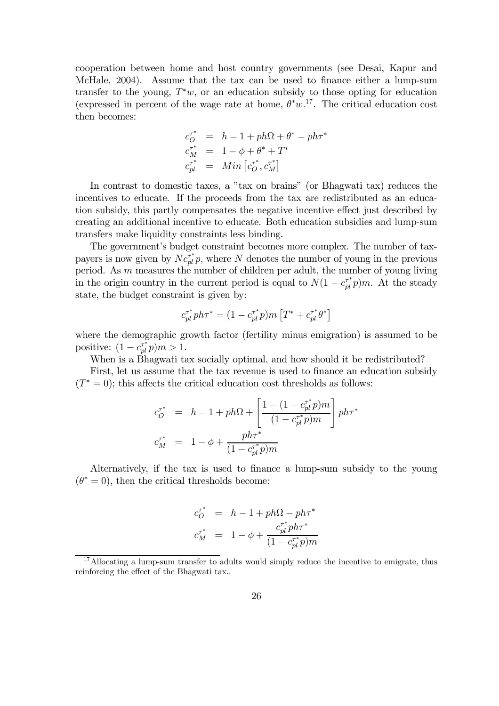cooperation between home and host country governments (see Desai, Kapur and McHale, 2004). Assume that the tax can be used to finance either a lump-sum transfer to the young,  $T^*w$ , or an education subsidy to those opting for education (expressed in percent of the wage rate at home,  $\theta^* w$ <sup>17</sup>. The critical education cost then becomes:

$$
c_{O}^{\tau^*} = h - 1 + ph\Omega + \theta^* - ph\tau^*
$$
  
\n
$$
c_{M}^{\tau^*} = 1 - \phi + \theta^* + T^*
$$
  
\n
$$
c_{pl}^{\tau^*} = Min \left[c_{O}^{\tau^*}, c_{M}^{\tau^*}\right]
$$

In contrast to domestic taxes, a "tax on brains" (or Bhagwati tax) reduces the incentives to educate. If the proceeds from the tax are redistributed as an education subsidy, this partly compensates the negative incentive effect just described by creating an additional incentive to educate. Both education subsidies and lump-sum transfers make liquidity constraints less binding.

The government's budget constraint becomes more complex. The number of taxpayers is now given by  $N c_{pl}^{\tau^*} p$ , where N denotes the number of young in the previous period. As m measures the number of children per adult, the number of young living in the origin country in the current period is equal to  $N(1 - c_{pl}^{T^*}p)m$ . At the steady state, the budget constraint is given by:

$$
c_{pl}^{\tau^*}ph\tau^* = (1-c_{pl}^{\tau^*}p)m\left[T^* + c_{pl}^{\tau^*}\theta^*\right]
$$

where the demographic growth factor (fertility minus emigration) is assumed to be positive:  $(1 - c_{pl}^{\tau^*} p)m > 1$ .

When is a Bhagwati tax socially optimal, and how should it be redistributed?

First, let us assume that the tax revenue is used to finance an education subsidy  $(T^* = 0)$ ; this affects the critical education cost thresholds as follows:

$$
\begin{array}{lcl} c_{O}^{\tau^{\ast}} & = & h - 1 + ph\Omega + \displaystyle \left[ \frac{1 - (1 - c_{pl}^{\tau^{\ast}}p)m}{(1 - c_{pl}^{\tau^{\ast}}p)m} \right] ph\tau^{\ast} \\[2ex] c_{M}^{\tau^{\ast}} & = & 1 - \phi + \frac{ph\tau^{\ast}}{(1 - c_{pl}^{\tau^{\ast}}p)m} \end{array}
$$

Alternatively, if the tax is used to finance a lump-sum subsidy to the young  $(\theta^* = 0)$ , then the critical thresholds become:

$$
\begin{array}{lcl} c^{ \tau^* }_O & = & h - 1 + p h \Omega - p h \tau^* \\ c^{ \tau^* }_M & = & 1 - \phi + \frac{c^{ \tau^* }_pl p h \tau^* }{ (1 - c^{\tau^*}_{pl} p) m } \end{array}
$$

<sup>&</sup>lt;sup>17</sup>Allocating a lump-sum transfer to adults would simply reduce the incentive to emigrate, thus reinforcing the effect of the Bhagwati tax...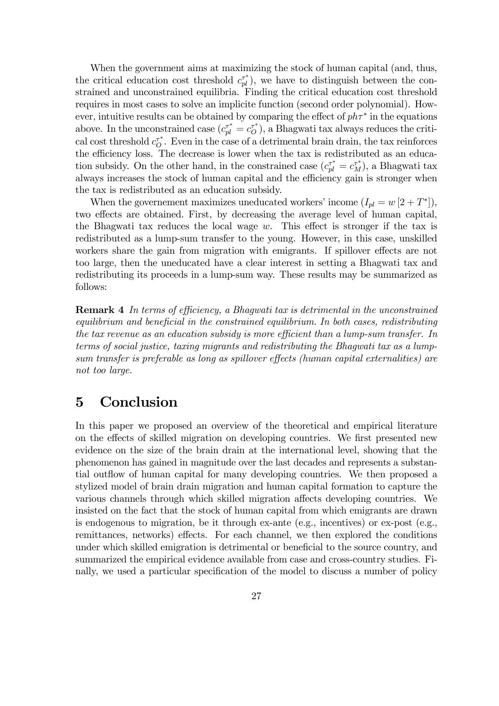When the government aims at maximizing the stock of human capital (and, thus, the critical education cost threshold  $c_{pl}^{\tau^*}$ ), we have to distinguish between the constrained and unconstrained equilibria. Finding the critical education cost threshold requires in most cases to solve an implicite function (second order polynomial). However, intuitive results can be obtained by comparing the effect of  $ph\tau^*$  in the equations above. In the unconstrained case  $(c_{pl}^{\tau^*} = c_0^{\tau^*})$ , a Bhagwati tax always reduces the critical cost threshold  $c_{\mathcal{O}}^{\tau^*}$ . Even in the case of a detrimental brain drain, the tax reinforces the efficiency loss. The decrease is lower when the tax is redistributed as an education subsidy. On the other hand, in the constrained case  $(c_{pl}^{\tau^*} = c_M^{\tau^*})$ , a Bhagwati tax always increases the stock of human capital and the efficiency gain is stronger when the tax is redistributed as an education subsidy.

When the governement maximizes uneducated workers' income  $(I_{pl} = w [2 + T^*])$ , two effects are obtained. First, by decreasing the average level of human capital, the Bhagwati tax reduces the local wage  $w$ . This effect is stronger if the tax is redistributed as a lump-sum transfer to the young. However, in this case, unskilled workers share the gain from migration with emigrants. If spillover effects are not too large, then the uneducated have a clear interest in setting a Bhagwati tax and redistributing its proceeds in a lump-sum way. These results may be summarized as follows:

**Remark 4** In terms of efficiency, a Bhagwati tax is detrimental in the unconstrained  $equilibrium$  and beneficial in the constrained equilibrium. In both cases, redistributing the tax revenue as an education subsidy is more efficient than a lump-sum transfer. In terms of social justice, taxing migrants and redistributing the Bhagwati tax as a lumpsum transfer is preferable as long as spillover effects (human capital externalities) are not too large.

## 5 Conclusion

In this paper we proposed an overview of the theoretical and empirical literature on the effects of skilled migration on developing countries. We first presented new evidence on the size of the brain drain at the international level, showing that the phenomenon has gained in magnitude over the last decades and represents a substantial outflow of human capital for many developing countries. We then proposed a stylized model of brain drain migration and human capital formation to capture the various channels through which skilled migration affects developing countries. We insisted on the fact that the stock of human capital from which emigrants are drawn is endogenous to migration, be it through ex-ante (e.g., incentives) or ex-post (e.g., remittances, networks) effects. For each channel, we then explored the conditions under which skilled emigration is detrimental or beneficial to the source country, and summarized the empirical evidence available from case and cross-country studies. Finally, we used a particular specification of the model to discuss a number of policy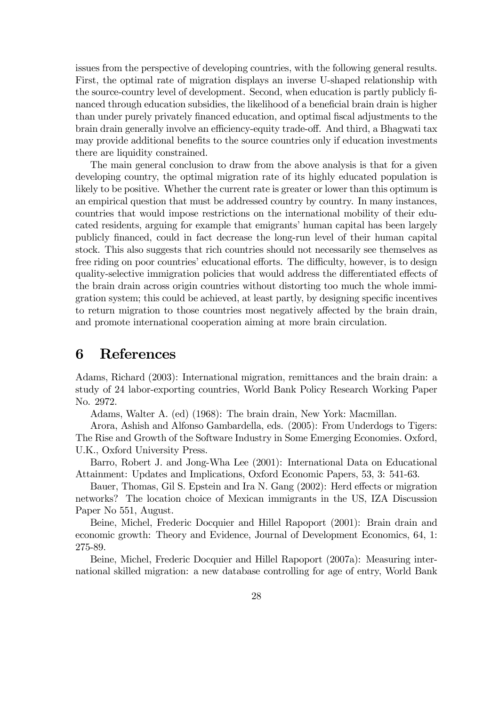issues from the perspective of developing countries, with the following general results. First, the optimal rate of migration displays an inverse U-shaped relationship with the source-country level of development. Second, when education is partly publicly financed through education subsidies, the likelihood of a beneficial brain drain is higher than under purely privately financed education, and optimal fiscal adjustments to the brain drain generally involve an efficiency-equity trade-off. And third, a Bhagwati tax may provide additional benefits to the source countries only if education investments there are liquidity constrained.

The main general conclusion to draw from the above analysis is that for a given developing country, the optimal migration rate of its highly educated population is likely to be positive. Whether the current rate is greater or lower than this optimum is an empirical question that must be addressed country by country. In many instances, countries that would impose restrictions on the international mobility of their educated residents, arguing for example that emigrants' human capital has been largely publicly …nanced, could in fact decrease the long-run level of their human capital stock. This also suggests that rich countries should not necessarily see themselves as free riding on poor countries' educational efforts. The difficulty, however, is to design quality-selective immigration policies that would address the differentiated effects of the brain drain across origin countries without distorting too much the whole immigration system; this could be achieved, at least partly, by designing specific incentives to return migration to those countries most negatively affected by the brain drain, and promote international cooperation aiming at more brain circulation.

# 6 References

Adams, Richard (2003): International migration, remittances and the brain drain: a study of 24 labor-exporting countries, World Bank Policy Research Working Paper No. 2972.

Adams, Walter A. (ed) (1968): The brain drain, New York: Macmillan.

Arora, Ashish and Alfonso Gambardella, eds. (2005): From Underdogs to Tigers: The Rise and Growth of the Software Industry in Some Emerging Economies. Oxford, U.K., Oxford University Press.

Barro, Robert J. and Jong-Wha Lee (2001): International Data on Educational Attainment: Updates and Implications, Oxford Economic Papers, 53, 3: 541-63.

Bauer, Thomas, Gil S. Epstein and Ira N. Gang (2002): Herd effects or migration networks? The location choice of Mexican immigrants in the US, IZA Discussion Paper No 551, August.

Beine, Michel, Frederic Docquier and Hillel Rapoport (2001): Brain drain and economic growth: Theory and Evidence, Journal of Development Economics, 64, 1: 275-89.

Beine, Michel, Frederic Docquier and Hillel Rapoport (2007a): Measuring international skilled migration: a new database controlling for age of entry, World Bank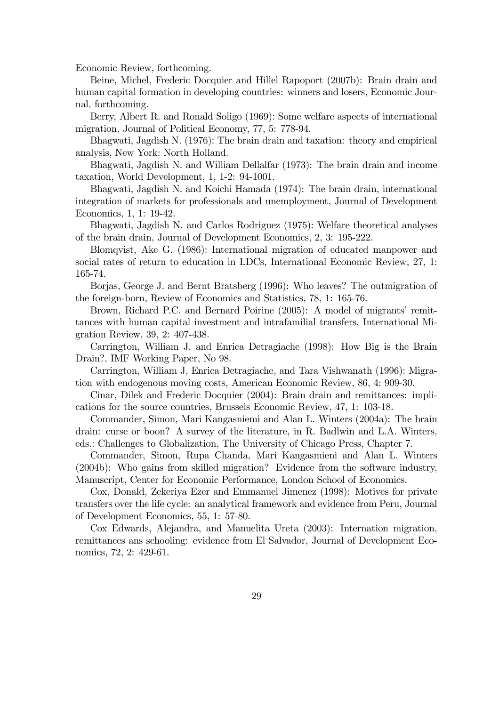Economic Review, forthcoming.

Beine, Michel, Frederic Docquier and Hillel Rapoport (2007b): Brain drain and human capital formation in developing countries: winners and losers, Economic Journal, forthcoming.

Berry, Albert R. and Ronald Soligo (1969): Some welfare aspects of international migration, Journal of Political Economy, 77, 5: 778-94.

Bhagwati, Jagdish N. (1976): The brain drain and taxation: theory and empirical analysis, New York: North Holland.

Bhagwati, Jagdish N. and William Dellalfar (1973): The brain drain and income taxation, World Development, 1, 1-2: 94-1001.

Bhagwati, Jagdish N. and Koichi Hamada (1974): The brain drain, international integration of markets for professionals and unemployment, Journal of Development Economics, 1, 1: 19-42.

Bhagwati, Jagdish N. and Carlos Rodriguez (1975): Welfare theoretical analyses of the brain drain, Journal of Development Economics, 2, 3: 195-222.

Blomqvist, Ake G. (1986): International migration of educated manpower and social rates of return to education in LDCs, International Economic Review, 27, 1: 165-74.

Borjas, George J. and Bernt Bratsberg (1996): Who leaves? The outmigration of the foreign-born, Review of Economics and Statistics, 78, 1: 165-76.

Brown, Richard P.C. and Bernard Poirine (2005): A model of migrants' remittances with human capital investment and intrafamilial transfers, International Migration Review, 39, 2: 407-438.

Carrington, William J. and Enrica Detragiache (1998): How Big is the Brain Drain?, IMF Working Paper, No 98.

Carrington, William J, Enrica Detragiache, and Tara Vishwanath (1996): Migration with endogenous moving costs, American Economic Review, 86, 4: 909-30.

Cinar, Dilek and Frederic Docquier (2004): Brain drain and remittances: implications for the source countries, Brussels Economic Review, 47, 1: 103-18.

Commander, Simon, Mari Kangasniemi and Alan L. Winters (2004a): The brain drain: curse or boon? A survey of the literature, in R. Badlwin and L.A. Winters, eds.: Challenges to Globalization, The University of Chicago Press, Chapter 7.

Commander, Simon, Rupa Chanda, Mari Kangasmieni and Alan L. Winters (2004b): Who gains from skilled migration? Evidence from the software industry, Manuscript, Center for Economic Performance, London School of Economics.

Cox, Donald, Zekeriya Ezer and Emmanuel Jimenez (1998): Motives for private transfers over the life cycle: an analytical framework and evidence from Peru, Journal of Development Economics, 55, 1: 57-80.

Cox Edwards, Alejandra, and Manuelita Ureta (2003): Internation migration, remittances ans schooling: evidence from El Salvador, Journal of Development Economics, 72, 2: 429-61.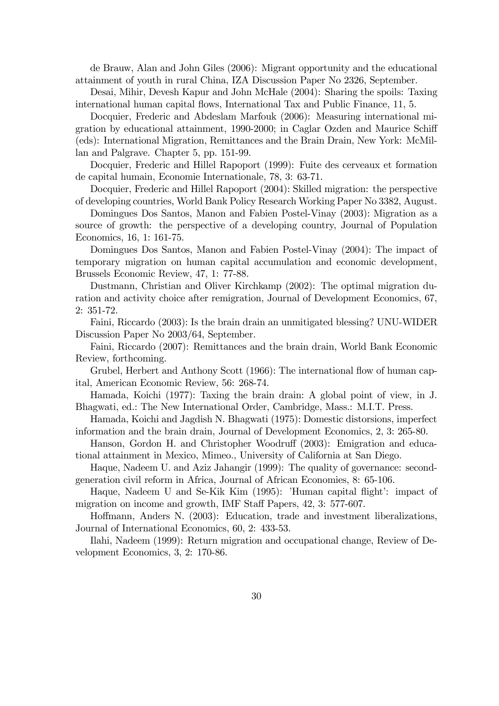de Brauw, Alan and John Giles (2006): Migrant opportunity and the educational attainment of youth in rural China, IZA Discussion Paper No 2326, September.

Desai, Mihir, Devesh Kapur and John McHale (2004): Sharing the spoils: Taxing international human capital flows, International Tax and Public Finance, 11, 5.

Docquier, Frederic and Abdeslam Marfouk (2006): Measuring international migration by educational attainment, 1990-2000; in Caglar Ozden and Maurice Schiff (eds): International Migration, Remittances and the Brain Drain, New York: McMillan and Palgrave. Chapter 5, pp. 151-99.

Docquier, Frederic and Hillel Rapoport (1999): Fuite des cerveaux et formation de capital humain, Economie Internationale, 78, 3: 63-71.

Docquier, Frederic and Hillel Rapoport (2004): Skilled migration: the perspective of developing countries, World Bank Policy Research Working Paper No 3382, August.

Domingues Dos Santos, Manon and Fabien Postel-Vinay (2003): Migration as a source of growth: the perspective of a developing country, Journal of Population Economics, 16, 1: 161-75.

Domingues Dos Santos, Manon and Fabien Postel-Vinay (2004): The impact of temporary migration on human capital accumulation and economic development, Brussels Economic Review, 47, 1: 77-88.

Dustmann, Christian and Oliver Kirchkamp (2002): The optimal migration duration and activity choice after remigration, Journal of Development Economics, 67, 2: 351-72.

Faini, Riccardo (2003): Is the brain drain an unmitigated blessing? UNU-WIDER Discussion Paper No 2003/64, September.

Faini, Riccardo (2007): Remittances and the brain drain, World Bank Economic Review, forthcoming.

Grubel, Herbert and Anthony Scott (1966): The international flow of human capital, American Economic Review, 56: 268-74.

Hamada, Koichi (1977): Taxing the brain drain: A global point of view, in J. Bhagwati, ed.: The New International Order, Cambridge, Mass.: M.I.T. Press.

Hamada, Koichi and Jagdish N. Bhagwati (1975): Domestic distorsions, imperfect information and the brain drain, Journal of Development Economics, 2, 3: 265-80.

Hanson, Gordon H. and Christopher Woodruff (2003): Emigration and educational attainment in Mexico, Mimeo., University of California at San Diego.

Haque, Nadeem U. and Aziz Jahangir (1999): The quality of governance: secondgeneration civil reform in Africa, Journal of African Economies, 8: 65-106.

Haque, Nadeem U and Se-Kik Kim (1995): 'Human capital ‡ight': impact of migration on income and growth, IMF Staff Papers, 42, 3: 577-607.

Hoffmann, Anders N. (2003): Education, trade and investment liberalizations, Journal of International Economics, 60, 2: 433-53.

Ilahi, Nadeem (1999): Return migration and occupational change, Review of Development Economics, 3, 2: 170-86.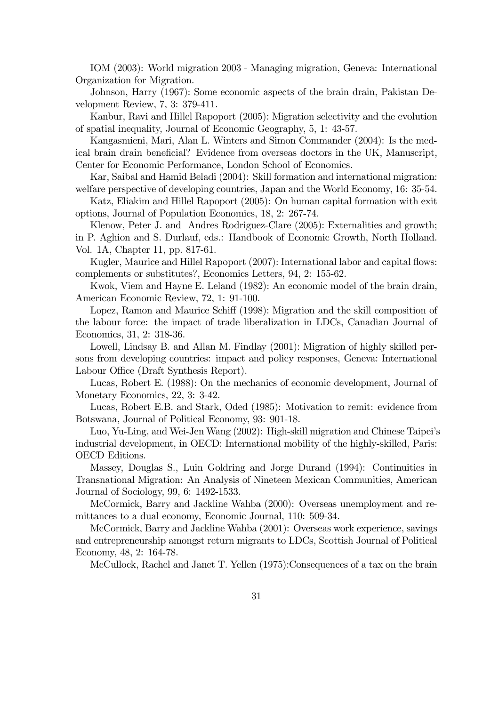IOM (2003): World migration 2003 - Managing migration, Geneva: International Organization for Migration.

Johnson, Harry (1967): Some economic aspects of the brain drain, Pakistan Development Review, 7, 3: 379-411.

Kanbur, Ravi and Hillel Rapoport (2005): Migration selectivity and the evolution of spatial inequality, Journal of Economic Geography, 5, 1: 43-57.

Kangasmieni, Mari, Alan L. Winters and Simon Commander (2004): Is the medical brain drain beneficial? Evidence from overseas doctors in the UK, Manuscript, Center for Economic Performance, London School of Economics.

Kar, Saibal and Hamid Beladi (2004): Skill formation and international migration: welfare perspective of developing countries, Japan and the World Economy, 16: 35-54.

Katz, Eliakim and Hillel Rapoport (2005): On human capital formation with exit options, Journal of Population Economics, 18, 2: 267-74.

Klenow, Peter J. and Andres Rodriguez-Clare (2005): Externalities and growth; in P. Aghion and S. Durlauf, eds.: Handbook of Economic Growth, North Holland. Vol. 1A, Chapter 11, pp. 817-61.

Kugler, Maurice and Hillel Rapoport (2007): International labor and capital flows: complements or substitutes?, Economics Letters, 94, 2: 155-62.

Kwok, Viem and Hayne E. Leland (1982): An economic model of the brain drain, American Economic Review, 72, 1: 91-100.

Lopez, Ramon and Maurice Schiff (1998): Migration and the skill composition of the labour force: the impact of trade liberalization in LDCs, Canadian Journal of Economics, 31, 2: 318-36.

Lowell, Lindsay B. and Allan M. Findlay (2001): Migration of highly skilled persons from developing countries: impact and policy responses, Geneva: International Labour Office (Draft Synthesis Report).

Lucas, Robert E. (1988): On the mechanics of economic development, Journal of Monetary Economics, 22, 3: 3-42.

Lucas, Robert E.B. and Stark, Oded (1985): Motivation to remit: evidence from Botswana, Journal of Political Economy, 93: 901-18.

Luo, Yu-Ling, and Wei-Jen Wang (2002): High-skill migration and Chinese Taipei's industrial development, in OECD: International mobility of the highly-skilled, Paris: OECD Editions.

Massey, Douglas S., Luin Goldring and Jorge Durand (1994): Continuities in Transnational Migration: An Analysis of Nineteen Mexican Communities, American Journal of Sociology, 99, 6: 1492-1533.

McCormick, Barry and Jackline Wahba (2000): Overseas unemployment and remittances to a dual economy, Economic Journal, 110: 509-34.

McCormick, Barry and Jackline Wahba (2001): Overseas work experience, savings and entrepreneurship amongst return migrants to LDCs, Scottish Journal of Political Economy, 48, 2: 164-78.

McCullock, Rachel and Janet T. Yellen (1975):Consequences of a tax on the brain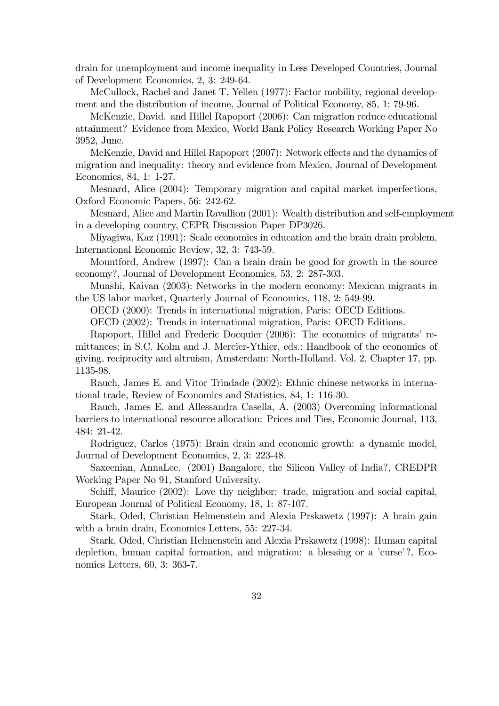drain for unemployment and income inequality in Less Developed Countries, Journal of Development Economics, 2, 3: 249-64.

McCullock, Rachel and Janet T. Yellen (1977): Factor mobility, regional development and the distribution of income, Journal of Political Economy, 85, 1: 79-96.

McKenzie, David. and Hillel Rapoport (2006): Can migration reduce educational attainment? Evidence from Mexico, World Bank Policy Research Working Paper No 3952, June.

McKenzie, David and Hillel Rapoport (2007): Network effects and the dynamics of migration and inequality: theory and evidence from Mexico, Journal of Development Economics, 84, 1: 1-27.

Mesnard, Alice (2004): Temporary migration and capital market imperfections, Oxford Economic Papers, 56: 242-62.

Mesnard, Alice and Martin Ravallion (2001): Wealth distribution and self-employment in a developing country, CEPR Discussion Paper DP3026.

Miyagiwa, Kaz (1991): Scale economies in education and the brain drain problem, International Economic Review, 32, 3: 743-59.

Mountford, Andrew (1997): Can a brain drain be good for growth in the source economy?, Journal of Development Economics, 53, 2: 287-303.

Munshi, Kaivan (2003): Networks in the modern economy: Mexican migrants in the US labor market, Quarterly Journal of Economics, 118, 2: 549-99.

OECD (2000): Trends in international migration, Paris: OECD Editions.

OECD (2002): Trends in international migration, Paris: OECD Editions.

Rapoport, Hillel and Frederic Docquier (2006): The economics of migrants' remittances; in S.C. Kolm and J. Mercier-Ythier, eds.: Handbook of the economics of giving, reciprocity and altruism, Amsterdam: North-Holland. Vol. 2, Chapter 17, pp. 1135-98.

Rauch, James E. and Vitor Trindade (2002): Ethnic chinese networks in international trade, Review of Economics and Statistics, 84, 1: 116-30.

Rauch, James E. and Allessandra Casella, A. (2003) Overcoming informational barriers to international resource allocation: Prices and Ties, Economic Journal, 113, 484: 21-42.

Rodriguez, Carlos (1975): Brain drain and economic growth: a dynamic model, Journal of Development Economics, 2, 3: 223-48.

Saxeenian, AnnaLee. (2001) Bangalore, the Silicon Valley of India?, CREDPR Working Paper No 91, Stanford University.

Schiff, Maurice (2002): Love thy neighbor: trade, migration and social capital, European Journal of Political Economy, 18, 1: 87-107.

Stark, Oded, Christian Helmenstein and Alexia Prskawetz (1997): A brain gain with a brain drain, Economics Letters, 55: 227-34.

Stark, Oded, Christian Helmenstein and Alexia Prskawetz (1998): Human capital depletion, human capital formation, and migration: a blessing or a 'curse'?, Economics Letters, 60, 3: 363-7.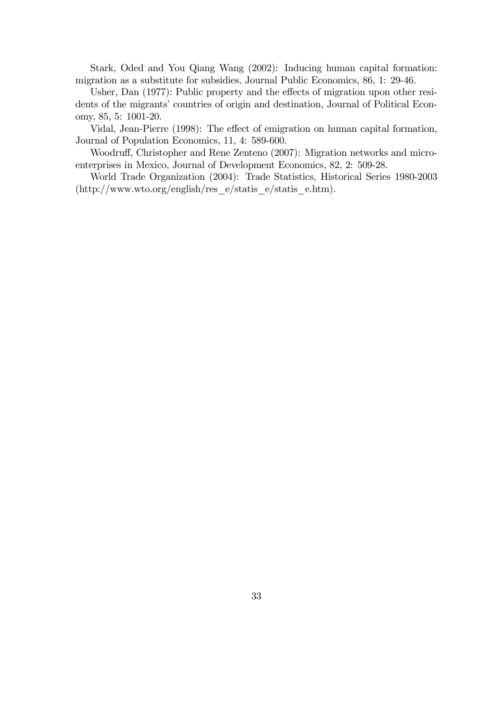Stark, Oded and You Qiang Wang (2002): Inducing human capital formation: migration as a substitute for subsidies, Journal Public Economics, 86, 1: 29-46.

Usher, Dan (1977): Public property and the effects of migration upon other residents of the migrants' countries of origin and destination, Journal of Political Economy, 85, 5: 1001-20.

Vidal, Jean-Pierre (1998): The effect of emigration on human capital formation, Journal of Population Economics, 11, 4: 589-600.

Woodruff, Christopher and Rene Zenteno (2007): Migration networks and microenterprises in Mexico, Journal of Development Economics, 82, 2: 509-28.

World Trade Organization (2004): Trade Statistics, Historical Series 1980-2003 (http://www.wto.org/english/res\_e/statis\_e/statis\_e.htm).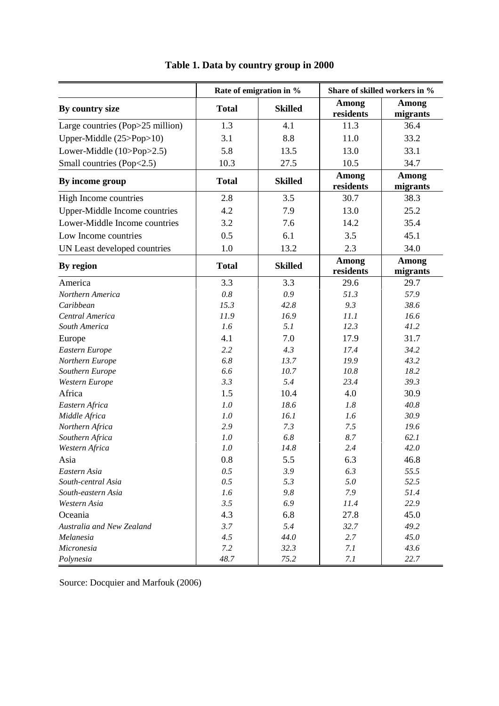|                                  |              | Rate of emigration in % | Share of skilled workers in % |                   |  |  |
|----------------------------------|--------------|-------------------------|-------------------------------|-------------------|--|--|
| By country size                  | <b>Total</b> | <b>Skilled</b>          | Among<br>residents            | Among<br>migrants |  |  |
| Large countries (Pop>25 million) | 1.3          | 4.1                     | 11.3                          | 36.4              |  |  |
| Upper-Middle (25>Pop>10)         | 3.1          | 8.8                     | 11.0                          | 33.2              |  |  |
| Lower-Middle (10>Pop>2.5)        | 5.8          | 13.5                    | 13.0                          | 33.1              |  |  |
| Small countries (Pop<2.5)        | 10.3         | 27.5                    | 10.5                          | 34.7              |  |  |
| By income group                  | <b>Total</b> | <b>Skilled</b>          | <b>Among</b><br>residents     | Among<br>migrants |  |  |
| High Income countries            | 2.8          | 3.5                     | 30.7                          | 38.3              |  |  |
| Upper-Middle Income countries    | 4.2          | 7.9                     | 13.0                          | 25.2              |  |  |
| Lower-Middle Income countries    | 3.2          | 7.6                     | 14.2                          | 35.4              |  |  |
| Low Income countries             | 0.5          | 6.1                     | 3.5                           | 45.1              |  |  |
| UN Least developed countries     | 1.0          | 13.2                    | 2.3                           | 34.0              |  |  |
| By region                        | <b>Total</b> | <b>Skilled</b>          | <b>Among</b><br>residents     | Among<br>migrants |  |  |
| America                          | 3.3          | 3.3                     | 29.6                          | 29.7              |  |  |
| Northern America                 | 0.8          | 0.9                     | 51.3                          | 57.9              |  |  |
| Caribbean                        | 15.3         | 42.8                    | 9.3                           | 38.6              |  |  |
| Central America                  | 11.9         | 16.9                    | 11.1                          | 16.6              |  |  |
| South America                    | 1.6          | 5.1                     | 12.3                          | 41.2              |  |  |
| Europe                           | 4.1          | 7.0                     | 17.9                          | 31.7              |  |  |
| Eastern Europe                   | 2.2          | 4.3                     | 17.4                          | 34.2              |  |  |
| Northern Europe                  | 6.8          | 13.7                    | 19.9                          | 43.2              |  |  |
| Southern Europe                  | 6.6          | 10.7                    | 10.8                          | 18.2              |  |  |
| Western Europe                   | 3.3          | 5.4                     | 23.4                          | 39.3              |  |  |
| Africa                           | 1.5          | 10.4                    | 4.0                           | 30.9              |  |  |
| Eastern Africa                   | 1.0          | 18.6                    | 1.8                           | 40.8              |  |  |
| Middle Africa                    | 1.0          | 16.1                    | 1.6                           | 30.9              |  |  |
| Northern Africa                  | 2.9          | 7.3                     | 7.5                           | 19.6              |  |  |
| Southern Africa                  | 1.0          | 6.8                     | 8.7                           | 62.1              |  |  |
| Western Africa                   | 1.0          | 14.8                    | 2.4                           | 42.0              |  |  |
| Asia                             | 0.8          | 5.5                     | 6.3                           | 46.8              |  |  |
| Eastern Asia                     | 0.5          | 3.9                     | 6.3                           | 55.5              |  |  |
| South-central Asia               | 0.5          | 5.3                     | 5.0                           | 52.5              |  |  |
| South-eastern Asia               | 1.6          | 9.8                     | 7.9                           | 51.4              |  |  |
| Western Asia                     | 3.5          | 6.9                     | 11.4                          | 22.9              |  |  |
| Oceania                          | 4.3          | 6.8                     | 27.8                          | 45.0              |  |  |
| Australia and New Zealand        | 3.7          | 5.4                     | 32.7                          | 49.2              |  |  |
| Melanesia<br>Micronesia          | 4.5<br>7.2   | 44.0<br>32.3            | 2.7<br>7.1                    | 45.0<br>43.6      |  |  |
| Polynesia                        | 48.7         | 75.2                    | 7.1                           | 22.7              |  |  |

# **Table 1. Data by country group in 2000**

Source: Docquier and Marfouk (2006)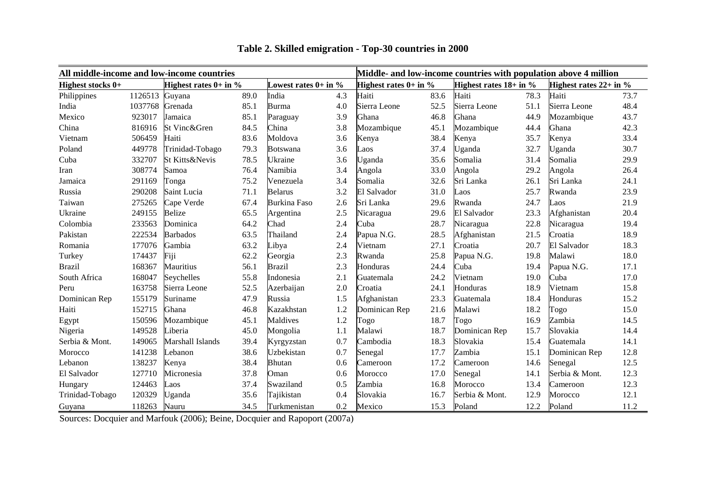| Middle- and low-income countries with population above 4 million<br>All middle-income and low-income countries |         |                            |      |                           |     |                            |      |                            |      |                          |      |
|----------------------------------------------------------------------------------------------------------------|---------|----------------------------|------|---------------------------|-----|----------------------------|------|----------------------------|------|--------------------------|------|
| <b>Highest stocks <math>0+</math></b>                                                                          |         | Highest rates $0+$ in $\%$ |      | Lowest rates $0+$ in $\%$ |     | Highest rates $0+$ in $\%$ |      | Highest rates $18+$ in $%$ |      | Highest rates $22+$ in % |      |
| Philippines                                                                                                    | 1126513 | Guyana                     | 89.0 | India                     | 4.3 | Haiti                      | 83.6 | Haiti                      | 78.3 | Haiti                    | 73.7 |
| India                                                                                                          | 1037768 | Grenada                    | 85.1 | Burma                     | 4.0 | Sierra Leone               | 52.5 | Sierra Leone               | 51.1 | Sierra Leone             | 48.4 |
| Mexico                                                                                                         | 923017  | Jamaica                    | 85.1 | Paraguay                  | 3.9 | Ghana                      | 46.8 | Ghana                      | 44.9 | Mozambique               | 43.7 |
| China                                                                                                          | 816916  | St Vinc&Gren               | 84.5 | China                     | 3.8 | Mozambique                 | 45.1 | Mozambique                 | 44.4 | Ghana                    | 42.3 |
| Vietnam                                                                                                        | 506459  | Haiti                      | 83.6 | Moldova                   | 3.6 | Kenya                      | 38.4 | Kenya                      | 35.7 | Kenya                    | 33.4 |
| Poland                                                                                                         | 449778  | Trinidad-Tobago            | 79.3 | <b>Botswana</b>           | 3.6 | Laos                       | 37.4 | Uganda                     | 32.7 | Uganda                   | 30.7 |
| Cuba                                                                                                           | 332707  | St Kitts&Nevis             | 78.5 | Ukraine                   | 3.6 | Uganda                     | 35.6 | Somalia                    | 31.4 | Somalia                  | 29.9 |
| Iran                                                                                                           | 308774  | Samoa                      | 76.4 | Namibia                   | 3.4 | Angola                     | 33.0 | Angola                     | 29.2 | Angola                   | 26.4 |
| Jamaica                                                                                                        | 291169  | Tonga                      | 75.2 | Venezuela                 | 3.4 | Somalia                    | 32.6 | Sri Lanka                  | 26.1 | Sri Lanka                | 24.1 |
| Russia                                                                                                         | 290208  | Saint Lucia                | 71.1 | <b>Belarus</b>            | 3.2 | El Salvador                | 31.0 | Laos                       | 25.7 | Rwanda                   | 23.9 |
| Taiwan                                                                                                         | 275265  | Cape Verde                 | 67.4 | <b>Burkina Faso</b>       | 2.6 | Sri Lanka                  | 29.6 | Rwanda                     | 24.7 | Laos                     | 21.9 |
| Ukraine                                                                                                        | 249155  | <b>Belize</b>              | 65.5 | Argentina                 | 2.5 | Nicaragua                  | 29.6 | El Salvador                | 23.3 | Afghanistan              | 20.4 |
| Colombia                                                                                                       | 233563  | Dominica                   | 64.2 | Chad                      | 2.4 | Cuba                       | 28.7 | Nicaragua                  | 22.8 | Nicaragua                | 19.4 |
| Pakistan                                                                                                       | 222534  | <b>Barbados</b>            | 63.5 | Thailand                  | 2.4 | Papua N.G.                 | 28.5 | Afghanistan                | 21.5 | Croatia                  | 18.9 |
| Romania                                                                                                        | 177076  | Gambia                     | 63.2 | Libya                     | 2.4 | Vietnam                    | 27.1 | Croatia                    | 20.7 | El Salvador              | 18.3 |
| Turkey                                                                                                         | 174437  | Fiji                       | 62.2 | Georgia                   | 2.3 | Rwanda                     | 25.8 | Papua N.G.                 | 19.8 | Malawi                   | 18.0 |
| <b>Brazil</b>                                                                                                  | 168367  | Mauritius                  | 56.1 | Brazil                    | 2.3 | Honduras                   | 24.4 | Cuba                       | 19.4 | Papua N.G.               | 17.1 |
| South Africa                                                                                                   | 168047  | Seychelles                 | 55.8 | Indonesia                 | 2.1 | Guatemala                  | 24.2 | Vietnam                    | 19.0 | Cuba                     | 17.0 |
| Peru                                                                                                           | 163758  | Sierra Leone               | 52.5 | Azerbaijan                | 2.0 | Croatia                    | 24.1 | Honduras                   | 18.9 | Vietnam                  | 15.8 |
| Dominican Rep                                                                                                  | 155179  | Suriname                   | 47.9 | Russia                    | 1.5 | Afghanistan                | 23.3 | Guatemala                  | 18.4 | Honduras                 | 15.2 |
| Haiti                                                                                                          | 152715  | Ghana                      | 46.8 | Kazakhstan                | 1.2 | Dominican Rep              | 21.6 | Malawi                     | 18.2 | Togo                     | 15.0 |
| Egypt                                                                                                          | 150596  | Mozambique                 | 45.1 | Maldives                  | 1.2 | Togo                       | 18.7 | Togo                       | 16.9 | Zambia                   | 14.5 |
| Nigeria                                                                                                        | 149528  | Liberia                    | 45.0 | Mongolia                  | 1.1 | Malawi                     | 18.7 | Dominican Rep              | 15.7 | Slovakia                 | 14.4 |
| Serbia & Mont.                                                                                                 | 149065  | Marshall Islands           | 39.4 | Kyrgyzstan                | 0.7 | Cambodia                   | 18.3 | Slovakia                   | 15.4 | Guatemala                | 14.1 |
| Morocco                                                                                                        | 141238  | Lebanon                    | 38.6 | Uzbekistan                | 0.7 | Senegal                    | 17.7 | Zambia                     | 15.1 | Dominican Rep            | 12.8 |
| Lebanon                                                                                                        | 138237  | Kenya                      | 38.4 | <b>Bhutan</b>             | 0.6 | Cameroon                   | 17.2 | Cameroon                   | 14.6 | Senegal                  | 12.5 |
| El Salvador                                                                                                    | 127710  | Micronesia                 | 37.8 | Oman                      | 0.6 | Morocco                    | 17.0 | Senegal                    | 14.1 | Serbia & Mont.           | 12.3 |
| Hungary                                                                                                        | 124463  | Laos                       | 37.4 | Swaziland                 | 0.5 | Zambia                     | 16.8 | Morocco                    | 13.4 | Cameroon                 | 12.3 |
| Trinidad-Tobago                                                                                                | 120329  | Uganda                     | 35.6 | Tajikistan                | 0.4 | Slovakia                   | 16.7 | Serbia & Mont.             | 12.9 | Morocco                  | 12.1 |
| Guyana                                                                                                         | 118263  | Nauru                      | 34.5 | Turkmenistan              | 0.2 | Mexico                     | 15.3 | Poland                     | 12.2 | Poland                   | 11.2 |

# **Table 2. Skilled emigration - Top-30 countries in 2000**

Sources: Docquier and Marfouk (2006); Beine, Docquier and Rapoport (2007a)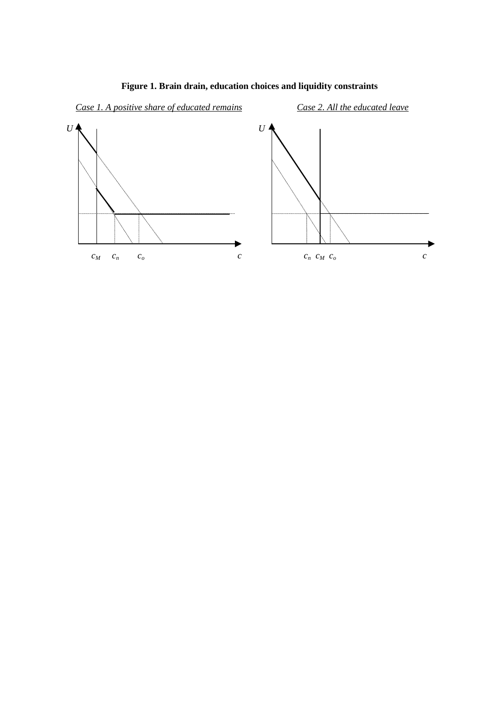

### **Figure 1. Brain drain, education choices and liquidity constraints**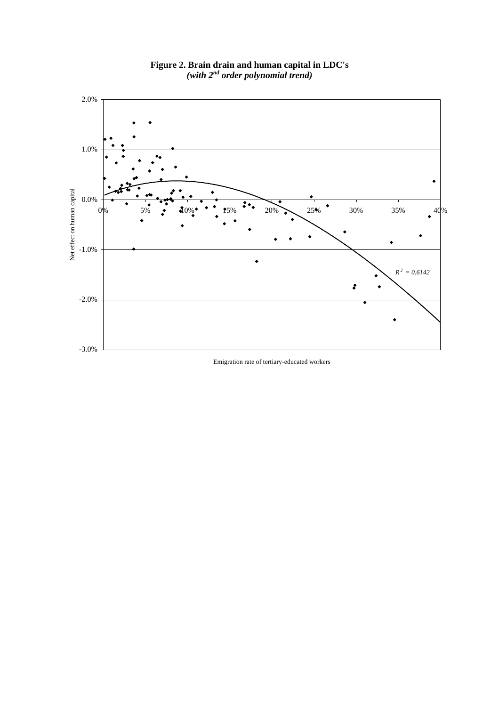

**Figure 2. Brain drain and human capital in LDC's** *(with 2nd order polynomial trend)*

Emigration rate of tertiary-educated workers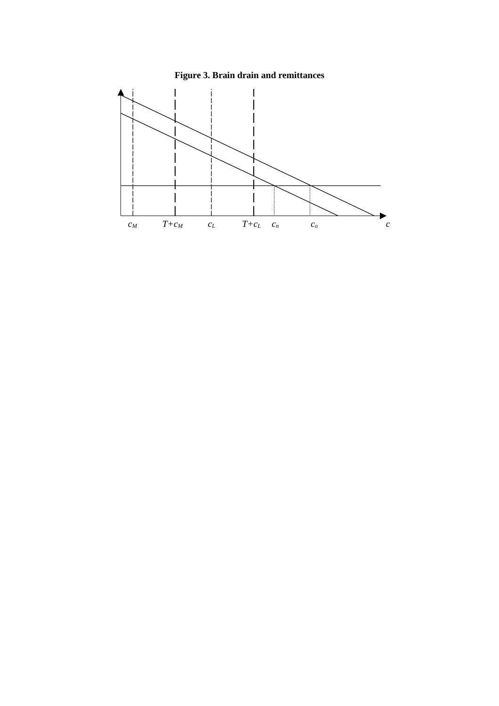

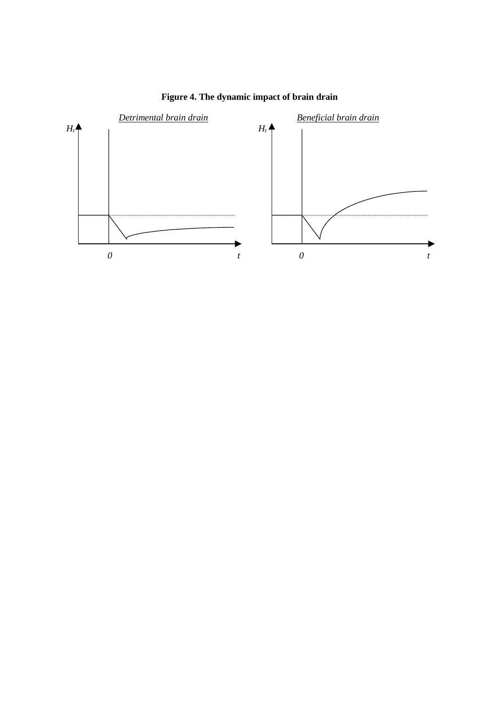

**Figure 4. The dynamic impact of brain drain**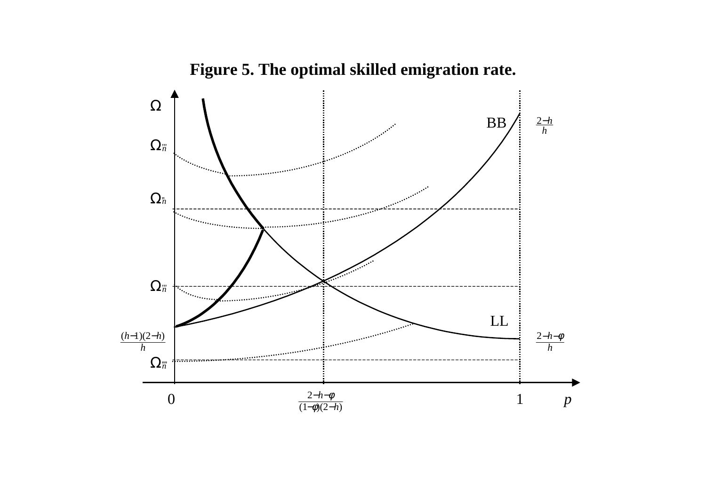

**Figure 5. The optimal skilled emigration rate.**